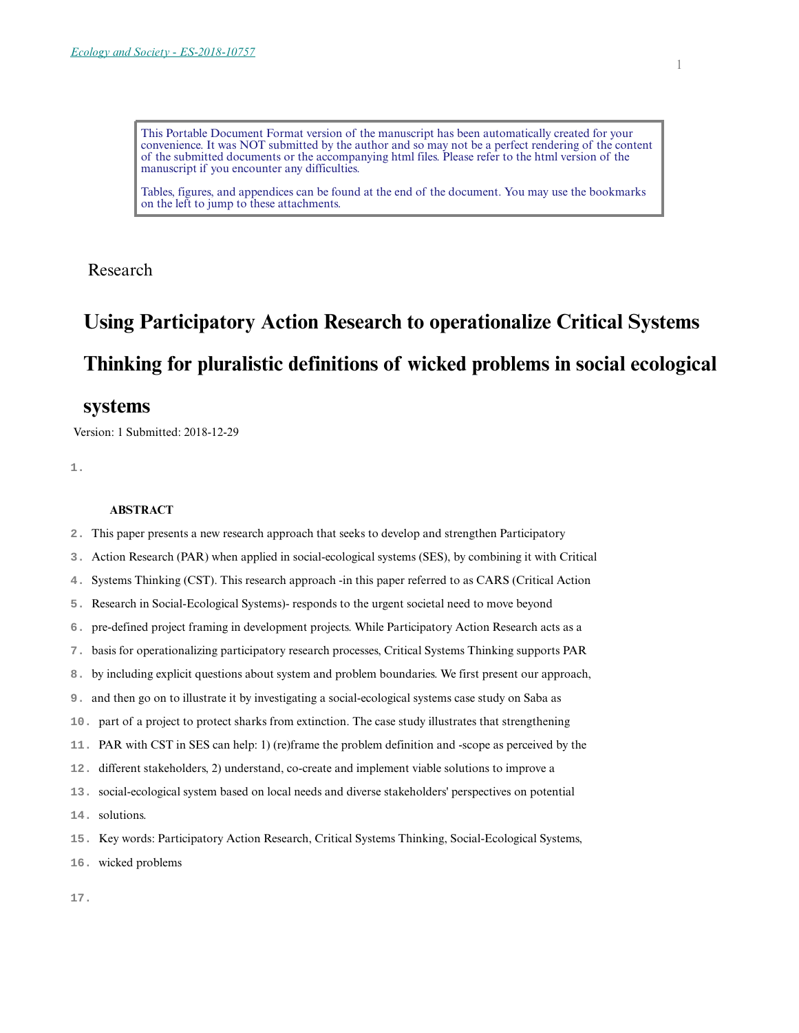This Portable Document Format version of the manuscript has been automatically created for your convenience. It was NOT submitted by the author and so may not be a perfect rendering of the content of the submitted documents or the accompanying html files. Please refer to the html version of the manuscript if you encounter any difficulties.

Tables, figures, and appendices can be found at the end of the document. You may use the bookmarks on the left to jump to these attachments.

Research

# **Using Participatory Action Research to operationalize Critical Systems Thinking for pluralistic definitions of wicked problems in social ecological**

## **systems**

Version: 1 Submitted: 2018-12-29

**1.** 

## **ABSTRACT**

- **2.** This paper presents a new research approach that seeks to develop and strengthen Participatory
- **3.** Action Research (PAR) when applied in social-ecological systems (SES), by combining it with Critical
- **4.** Systems Thinking (CST). This research approach -in this paper referred to as CARS (Critical Action
- **5.** Research in Social-Ecological Systems)- responds to the urgent societal need to move beyond
- **6.** pre-defined project framing in development projects. While Participatory Action Research acts as a
- **7.** basis for operationalizing participatory research processes, Critical Systems Thinking supports PAR
- **8.** by including explicit questions about system and problem boundaries. We first present our approach,
- **9.** and then go on to illustrate it by investigating a social-ecological systems case study on Saba as
- **10.** part of a project to protect sharks from extinction. The case study illustrates that strengthening
- **11.** PAR with CST in SES can help: 1) (re)frame the problem definition and -scope as perceived by the
- **12.** different stakeholders, 2) understand, co-create and implement viable solutions to improve a
- **13.** social-ecological system based on local needs and diverse stakeholders' perspectives on potential
- **14.** solutions.
- **15.** Key words: Participatory Action Research, Critical Systems Thinking, Social-Ecological Systems,
- **16.** wicked problems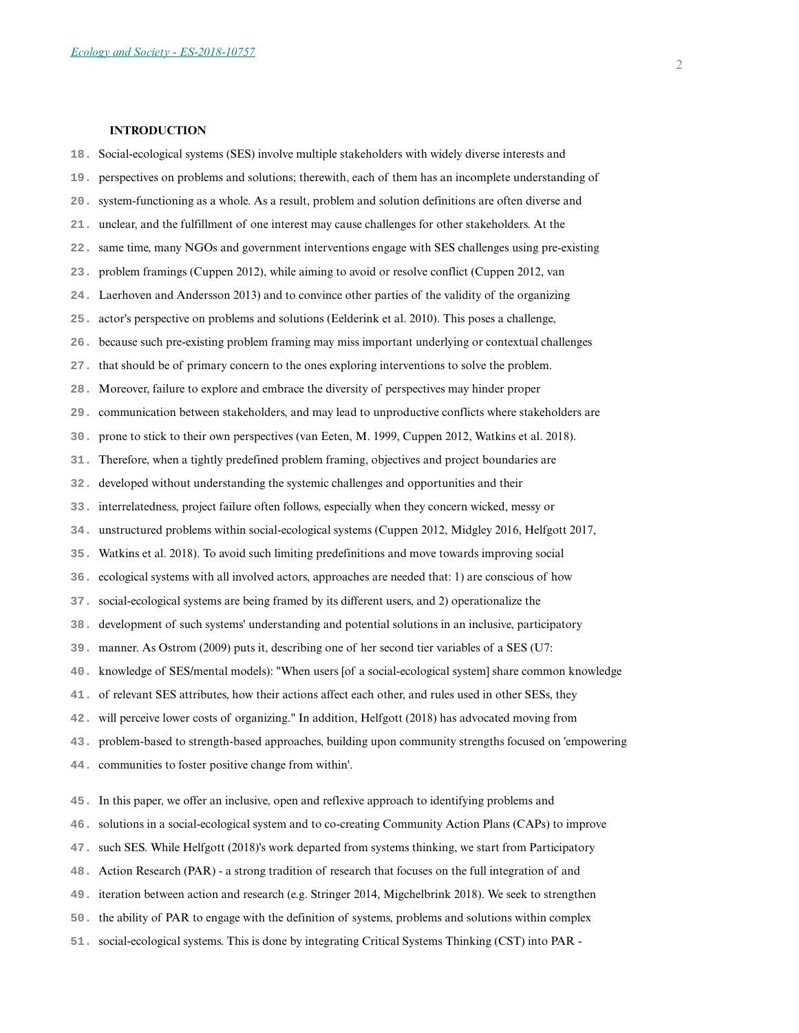#### **INTRODUCTION**

- **18.** Social-ecological systems (SES) involve multiple stakeholders with widely diverse interests and
- **19.** perspectives on problems and solutions; therewith, each of them has an incomplete understanding of
- **20.** system-functioning as a whole. As a result, problem and solution definitions are often diverse and
- **21.** unclear, and the fulfillment of one interest may cause challenges for other stakeholders. At the
- **22.** same time, many NGOs and government interventions engage with SES challenges using pre-existing
- **23.** problem framings (Cuppen 2012), while aiming to avoid or resolve conflict (Cuppen 2012, van
- **24.** Laerhoven and Andersson 2013) and to convince other parties of the validity of the organizing
- **25.** actor's perspective on problems and solutions (Eelderink et al. 2010). This poses a challenge,
- **26.** because such pre-existing problem framing may miss important underlying or contextual challenges
- **27.** that should be of primary concern to the ones exploring interventions to solve the problem.
- **28.** Moreover, failure to explore and embrace the diversity of perspectives may hinder proper
- **29.** communication between stakeholders, and may lead to unproductive conflicts where stakeholders are
- **30.** prone to stick to their own perspectives (van Eeten, M. 1999, Cuppen 2012, Watkins et al. 2018).
- **31.** Therefore, when a tightly predefined problem framing, objectives and project boundaries are
- **32.** developed without understanding the systemic challenges and opportunities and their
- **33.** interrelatedness, project failure often follows, especially when they concern wicked, messy or
- **34.** unstructured problems within social-ecological systems (Cuppen 2012, Midgley 2016, Helfgott 2017,
- **35.** Watkins et al. 2018). To avoid such limiting predefinitions and move towards improving social
- **36.** ecological systems with all involved actors, approaches are needed that: 1) are conscious of how
- **37.** social-ecological systems are being framed by its different users, and 2) operationalize the
- **38.** development of such systems' understanding and potential solutions in an inclusive, participatory
- **39.** manner. As Ostrom (2009) puts it, describing one of her second tier variables of a SES (U7:
- **40.** knowledge of SES/mental models): "When users [of a social-ecological system] share common knowledge
- **41.** of relevant SES attributes, how their actions affect each other, and rules used in other SESs, they
- **42.** will perceive lower costs of organizing." In addition, Helfgott (2018) has advocated moving from
- **43.** problem-based to strength-based approaches, building upon community strengths focused on 'empowering
- **44.** communities to foster positive change from within'.
- **45.** In this paper, we offer an inclusive, open and reflexive approach to identifying problems and
- **46.** solutions in a social-ecological system and to co-creating Community Action Plans (CAPs) to improve
- **47.** such SES. While Helfgott (2018)'s work departed from systems thinking, we start from Participatory
- **48.** Action Research (PAR) a strong tradition of research that focuses on the full integration of and
- **49.** iteration between action and research (e.g. Stringer 2014, Migchelbrink 2018). We seek to strengthen
- **50.** the ability of PAR to engage with the definition of systems, problems and solutions within complex
- **51.** social-ecological systems. This is done by integrating Critical Systems Thinking (CST) into PAR -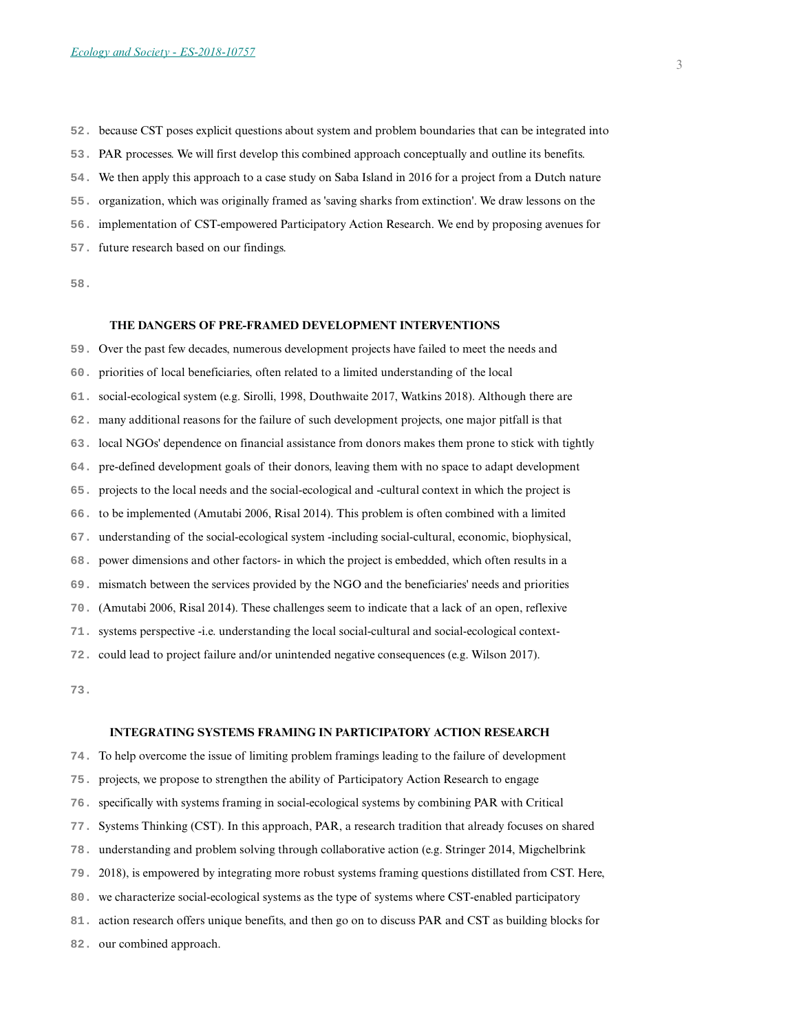**52.** because CST poses explicit questions about system and problem boundaries that can be integrated into

- **53.** PAR processes. We will first develop this combined approach conceptually and outline its benefits.
- **54.** We then apply this approach to a case study on Saba Island in 2016 for a project from a Dutch nature
- **55.** organization, which was originally framed as 'saving sharks from extinction'. We draw lessons on the
- **56.** implementation of CST-empowered Participatory Action Research. We end by proposing avenues for
- **57.** future research based on our findings.

**58.** 

#### **THE DANGERS OF PRE-FRAMED DEVELOPMENT INTERVENTIONS**

**59.** Over the past few decades, numerous development projects have failed to meet the needs and **60.** priorities of local beneficiaries, often related to a limited understanding of the local **61.** social-ecological system (e.g. Sirolli, 1998, Douthwaite 2017, Watkins 2018). Although there are **62.** many additional reasons for the failure of such development projects, one major pitfall is that **63.** local NGOs' dependence on financial assistance from donors makes them prone to stick with tightly **64.** pre-defined development goals of their donors, leaving them with no space to adapt development **65.** projects to the local needs and the social-ecological and -cultural context in which the project is **66.** to be implemented (Amutabi 2006, Risal 2014). This problem is often combined with a limited **67.** understanding of the social-ecological system -including social-cultural, economic, biophysical, **68.** power dimensions and other factors- in which the project is embedded, which often results in a **69.** mismatch between the services provided by the NGO and the beneficiaries' needs and priorities **70.** (Amutabi 2006, Risal 2014). These challenges seem to indicate that a lack of an open, reflexive **71.** systems perspective -i.e. understanding the local social-cultural and social-ecological context-**72.** could lead to project failure and/or unintended negative consequences (e.g. Wilson 2017).

**73.** 

#### **INTEGRATING SYSTEMS FRAMING IN PARTICIPATORY ACTION RESEARCH**

**74.** To help overcome the issue of limiting problem framings leading to the failure of development

- **75.** projects, we propose to strengthen the ability of Participatory Action Research to engage
- **76.** specifically with systems framing in social-ecological systems by combining PAR with Critical
- **77.** Systems Thinking (CST). In this approach, PAR, a research tradition that already focuses on shared
- **78.** understanding and problem solving through collaborative action (e.g. Stringer 2014, Migchelbrink
- **79.** 2018), is empowered by integrating more robust systems framing questions distillated from CST. Here,
- **80.** we characterize social-ecological systems as the type of systems where CST-enabled participatory
- **81.** action research offers unique benefits, and then go on to discuss PAR and CST as building blocks for
- **82.** our combined approach.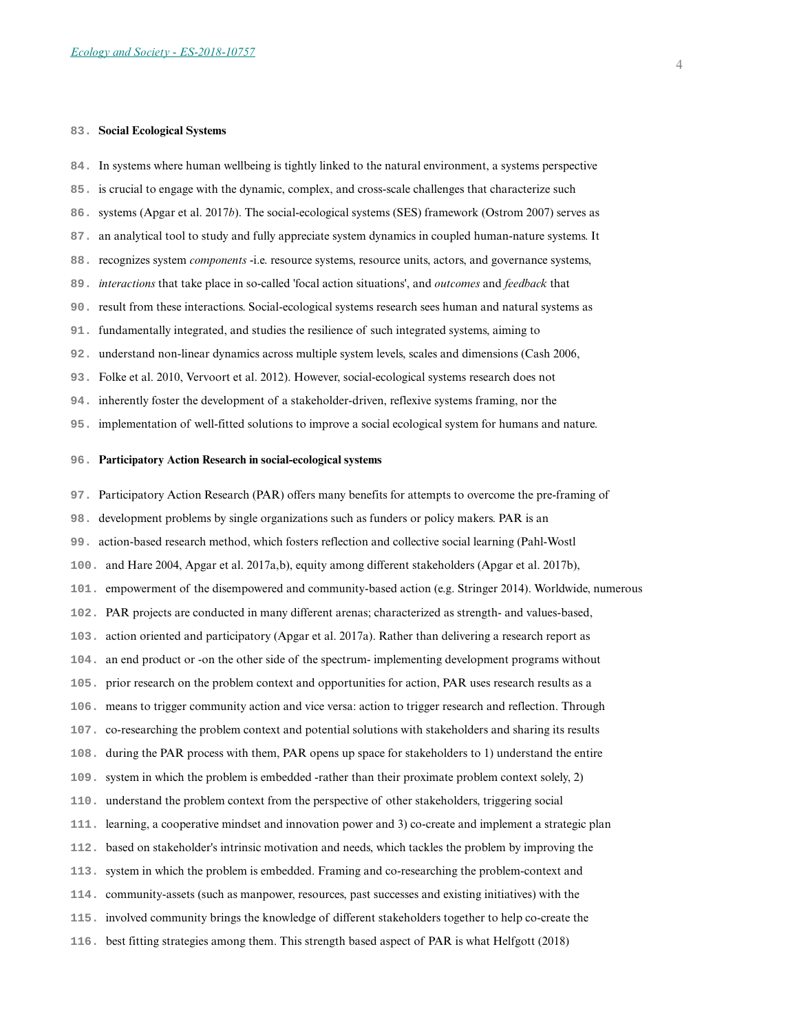#### **83. Social Ecological Systems**

- **84.** In systems where human wellbeing is tightly linked to the natural environment, a systems perspective
- **85.** is crucial to engage with the dynamic, complex, and cross-scale challenges that characterize such
- **86.** systems (Apgar et al. 2017*b*). The social-ecological systems (SES) framework (Ostrom 2007) serves as
- **87.** an analytical tool to study and fully appreciate system dynamics in coupled human-nature systems. It
- **88.** recognizes system *components* -i.e. resource systems, resource units, actors, and governance systems,
- **89.** *interactions* that take place in so-called 'focal action situations', and *outcomes* and *feedback* that
- **90.** result from these interactions. Social-ecological systems research sees human and natural systems as
- **91.** fundamentally integrated, and studies the resilience of such integrated systems, aiming to
- **92.** understand non-linear dynamics across multiple system levels, scales and dimensions (Cash 2006,
- **93.** Folke et al. 2010, Vervoort et al. 2012). However, social-ecological systems research does not
- **94.** inherently foster the development of a stakeholder-driven, reflexive systems framing, nor the
- **95.** implementation of well-fitted solutions to improve a social ecological system for humans and nature.

#### **96. Participatory Action Research in social-ecological systems**

- **97.** Participatory Action Research (PAR) offers many benefits for attempts to overcome the pre-framing of
- **98.** development problems by single organizations such as funders or policy makers. PAR is an
- **99.** action-based research method, which fosters reflection and collective social learning (Pahl-Wostl
- **100.** and Hare 2004, Apgar et al. 2017a,b), equity among different stakeholders (Apgar et al. 2017b),
- **101.** empowerment of the disempowered and community-based action (e.g. Stringer 2014). Worldwide, numerous
- **102.** PAR projects are conducted in many different arenas; characterized as strength- and values-based,
- **103.** action oriented and participatory (Apgar et al. 2017a). Rather than delivering a research report as
- **104.** an end product or -on the other side of the spectrum- implementing development programs without
- **105.** prior research on the problem context and opportunities for action, PAR uses research results as a
- **106.** means to trigger community action and vice versa: action to trigger research and reflection. Through
- **107.** co-researching the problem context and potential solutions with stakeholders and sharing its results
- **108.** during the PAR process with them, PAR opens up space for stakeholders to 1) understand the entire
- **109.** system in which the problem is embedded -rather than their proximate problem context solely, 2)
- **110.** understand the problem context from the perspective of other stakeholders, triggering social
- **111.** learning, a cooperative mindset and innovation power and 3) co-create and implement a strategic plan
- **112.** based on stakeholder's intrinsic motivation and needs, which tackles the problem by improving the
- **113.** system in which the problem is embedded. Framing and co-researching the problem-context and
- **114.** community-assets (such as manpower, resources, past successes and existing initiatives) with the
- **115.** involved community brings the knowledge of different stakeholders together to help co-create the
- **116.** best fitting strategies among them. This strength based aspect of PAR is what Helfgott (2018)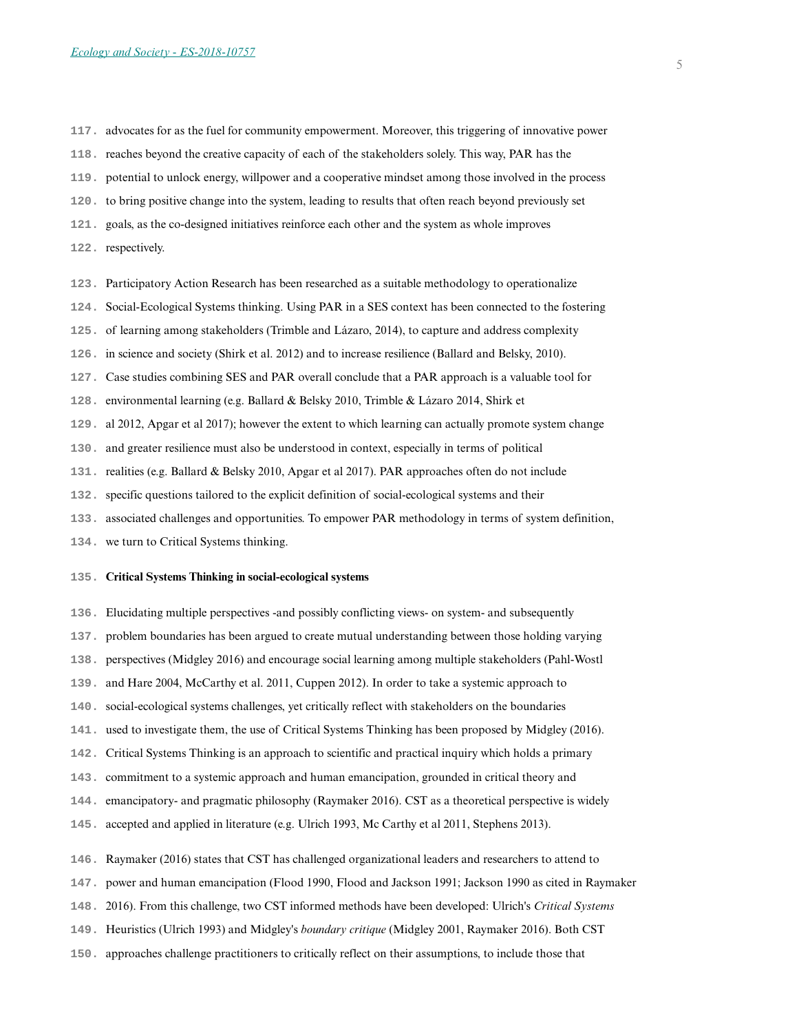- **117.** advocates for as the fuel for community empowerment. Moreover, this triggering of innovative power
- **118.** reaches beyond the creative capacity of each of the stakeholders solely. This way, PAR has the
- **119.** potential to unlock energy, willpower and a cooperative mindset among those involved in the process
- **120.** to bring positive change into the system, leading to results that often reach beyond previously set
- **121.** goals, as the co-designed initiatives reinforce each other and the system as whole improves
- **122.** respectively.
- **123.** Participatory Action Research has been researched as a suitable methodology to operationalize
- **124.** Social-Ecological Systems thinking. Using PAR in a SES context has been connected to the fostering
- **125.** of learning among stakeholders (Trimble and Lázaro, 2014), to capture and address complexity
- **126.** in science and society (Shirk et al. 2012) and to increase resilience (Ballard and Belsky, 2010).
- **127.** Case studies combining SES and PAR overall conclude that a PAR approach is a valuable tool for
- **128.** environmental learning (e.g. Ballard & Belsky 2010, Trimble & Lázaro 2014, Shirk et
- **129.** al 2012, Apgar et al 2017); however the extent to which learning can actually promote system change
- **130.** and greater resilience must also be understood in context, especially in terms of political
- **131.** realities (e.g. Ballard & Belsky 2010, Apgar et al 2017). PAR approaches often do not include
- **132.** specific questions tailored to the explicit definition of social-ecological systems and their
- **133.** associated challenges and opportunities. To empower PAR methodology in terms of system definition,
- **134.** we turn to Critical Systems thinking.

#### **135. Critical Systems Thinking in social-ecological systems**

- **136.** Elucidating multiple perspectives -and possibly conflicting views- on system- and subsequently
- **137.** problem boundaries has been argued to create mutual understanding between those holding varying
- **138.** perspectives (Midgley 2016) and encourage social learning among multiple stakeholders (Pahl-Wostl
- **139.** and Hare 2004, McCarthy et al. 2011, Cuppen 2012). In order to take a systemic approach to
- **140.** social-ecological systems challenges, yet critically reflect with stakeholders on the boundaries
- **141.** used to investigate them, the use of Critical Systems Thinking has been proposed by Midgley (2016).
- **142.** Critical Systems Thinking is an approach to scientific and practical inquiry which holds a primary
- **143.** commitment to a systemic approach and human emancipation, grounded in critical theory and
- **144.** emancipatory- and pragmatic philosophy (Raymaker 2016). CST as a theoretical perspective is widely
- **145.** accepted and applied in literature (e.g. Ulrich 1993, Mc Carthy et al 2011, Stephens 2013).
- **146.** Raymaker (2016) states that CST has challenged organizational leaders and researchers to attend to
- **147.** power and human emancipation (Flood 1990, Flood and Jackson 1991; Jackson 1990 as cited in Raymaker
- **148.** 2016). From this challenge, two CST informed methods have been developed: Ulrich's *Critical Systems*
- **149.** Heuristics (Ulrich 1993) and Midgley's *boundary critique* (Midgley 2001, Raymaker 2016). Both CST
- **150.** approaches challenge practitioners to critically reflect on their assumptions, to include those that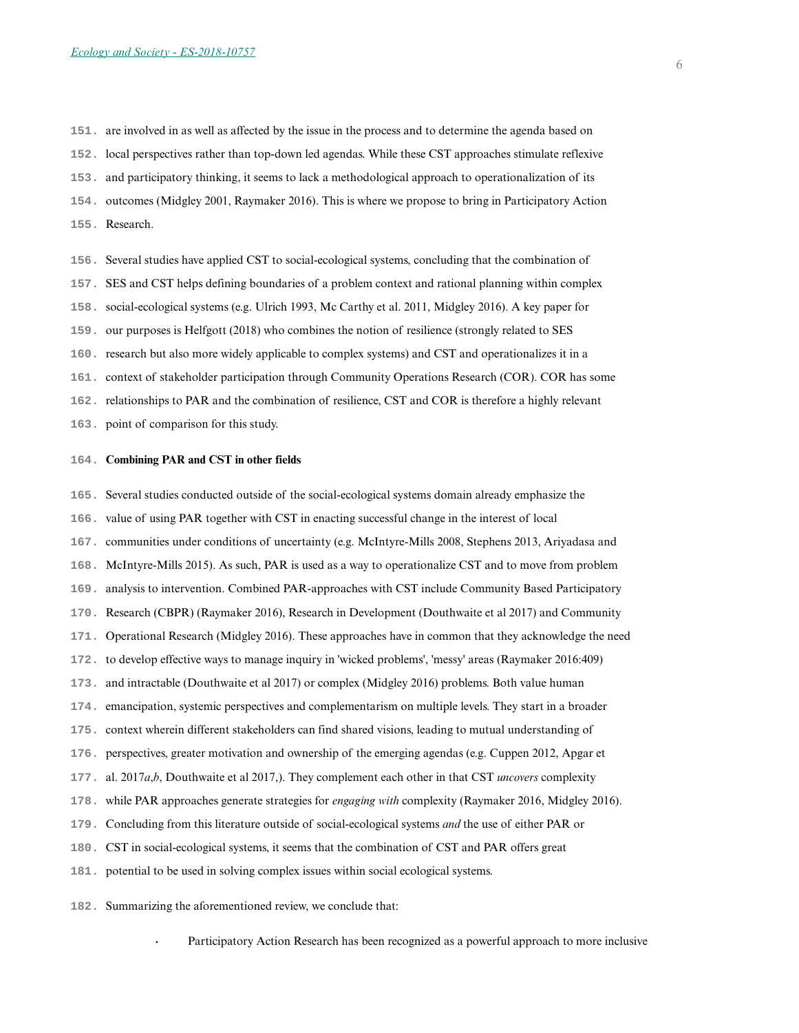**151.** are involved in as well as affected by the issue in the process and to determine the agenda based on **152.** local perspectives rather than top-down led agendas. While these CST approaches stimulate reflexive **153.** and participatory thinking, it seems to lack a methodological approach to operationalization of its **154.** outcomes (Midgley 2001, Raymaker 2016). This is where we propose to bring in Participatory Action **155.** Research.

**156.** Several studies have applied CST to social-ecological systems, concluding that the combination of

**157.** SES and CST helps defining boundaries of a problem context and rational planning within complex

**158.** social-ecological systems (e.g. Ulrich 1993, Mc Carthy et al. 2011, Midgley 2016). A key paper for

**159.** our purposes is Helfgott (2018) who combines the notion of resilience (strongly related to SES

**160.** research but also more widely applicable to complex systems) and CST and operationalizes it in a

**161.** context of stakeholder participation through Community Operations Research (COR). COR has some

**162.** relationships to PAR and the combination of resilience, CST and COR is therefore a highly relevant

**163.** point of comparison for this study.

#### **164. Combining PAR and CST in other fields**

**165.** Several studies conducted outside of the social-ecological systems domain already emphasize the

**166.** value of using PAR together with CST in enacting successful change in the interest of local

**167.** communities under conditions of uncertainty (e.g. McIntyre-Mills 2008, Stephens 2013, Ariyadasa and

**168.** McIntyre-Mills 2015). As such, PAR is used as a way to operationalize CST and to move from problem

**169.** analysis to intervention. Combined PAR-approaches with CST include Community Based Participatory

**170.** Research (CBPR) (Raymaker 2016), Research in Development (Douthwaite et al 2017) and Community

**171.** Operational Research (Midgley 2016). These approaches have in common that they acknowledge the need

**172.** to develop effective ways to manage inquiry in 'wicked problems', 'messy' areas (Raymaker 2016:409)

**173.** and intractable (Douthwaite et al 2017) or complex (Midgley 2016) problems. Both value human

- **174.** emancipation, systemic perspectives and complementarism on multiple levels. They start in a broader
- **175.** context wherein different stakeholders can find shared visions, leading to mutual understanding of

**176.** perspectives, greater motivation and ownership of the emerging agendas (e.g. Cuppen 2012, Apgar et

**177.** al. 2017*a*,*b*, Douthwaite et al 2017,). They complement each other in that CST *uncovers* complexity

**178.** while PAR approaches generate strategies for *engaging with* complexity (Raymaker 2016, Midgley 2016).

**179.** Concluding from this literature outside of social-ecological systems *and* the use of either PAR or

**180.** CST in social-ecological systems, it seems that the combination of CST and PAR offers great

**181.** potential to be used in solving complex issues within social ecological systems.

**182.** Summarizing the aforementioned review, we conclude that:

**.** Participatory Action Research has been recognized as a powerful approach to more inclusive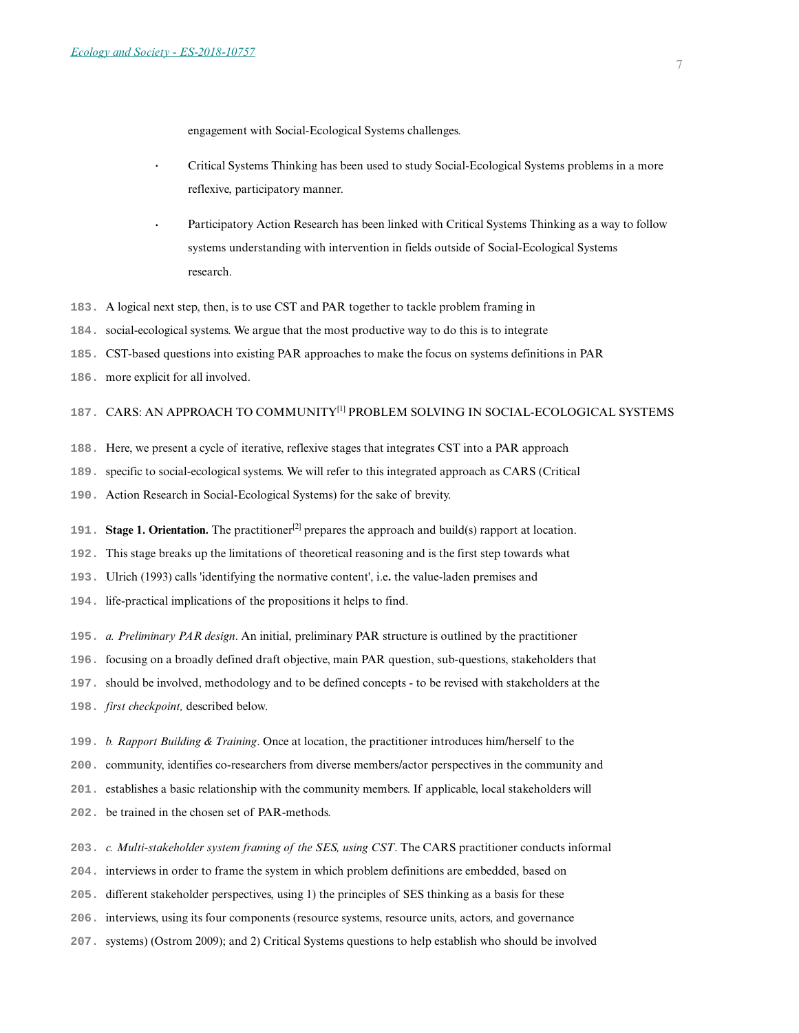engagement with Social-Ecological Systems challenges.

- **.** Critical Systems Thinking has been used to study Social-Ecological Systems problems in a more reflexive, participatory manner.
- **.** Participatory Action Research has been linked with Critical Systems Thinking as a way to follow systems understanding with intervention in fields outside of Social-Ecological Systems research.
- **183.** A logical next step, then, is to use CST and PAR together to tackle problem framing in
- **184.** social-ecological systems. We argue that the most productive way to do this is to integrate
- **185.** CST-based questions into existing PAR approaches to make the focus on systems definitions in PAR
- **186.** more explicit for all involved.

## 187. CARS: AN APPROACH TO COMMUNITY<sup>[1]</sup> PROBLEM SOLVING IN SOCIAL-ECOLOGICAL SYSTEMS

- **188.** Here, we present a cycle of iterative, reflexive stages that integrates CST into a PAR approach
- **189.** specific to social-ecological systems. We will refer to this integrated approach as CARS (Critical
- **190.** Action Research in Social-Ecological Systems) for the sake of brevity.
- **191. Stage 1. Orientation.** The practitioner[2] prepares the approach and build(s) rapport at location.
- **192.** This stage breaks up the limitations of theoretical reasoning and is the first step towards what
- **193.** Ulrich (1993) calls 'identifying the normative content', i.e**.** the value-laden premises and
- **194.** life-practical implications of the propositions it helps to find.
- **195.** *a. Preliminary PAR design*. An initial, preliminary PAR structure is outlined by the practitioner
- **196.** focusing on a broadly defined draft objective, main PAR question, sub-questions, stakeholders that
- **197.** should be involved, methodology and to be defined concepts to be revised with stakeholders at the
- **198.** *first checkpoint,* described below*.*
- **199.** *b. Rapport Building & Training*. Once at location, the practitioner introduces him/herself to the
- **200.** community, identifies co-researchers from diverse members/actor perspectives in the community and
- **201.** establishes a basic relationship with the community members. If applicable, local stakeholders will
- **202.** be trained in the chosen set of PAR-methods.
- **203.** *c. Multi-stakeholder system framing of the SES, using CST*. The CARS practitioner conducts informal
- **204.** interviews in order to frame the system in which problem definitions are embedded, based on
- **205.** different stakeholder perspectives, using 1) the principles of SES thinking as a basis for these
- **206.** interviews, using its four components (resource systems, resource units, actors, and governance
- **207.** systems) (Ostrom 2009); and 2) Critical Systems questions to help establish who should be involved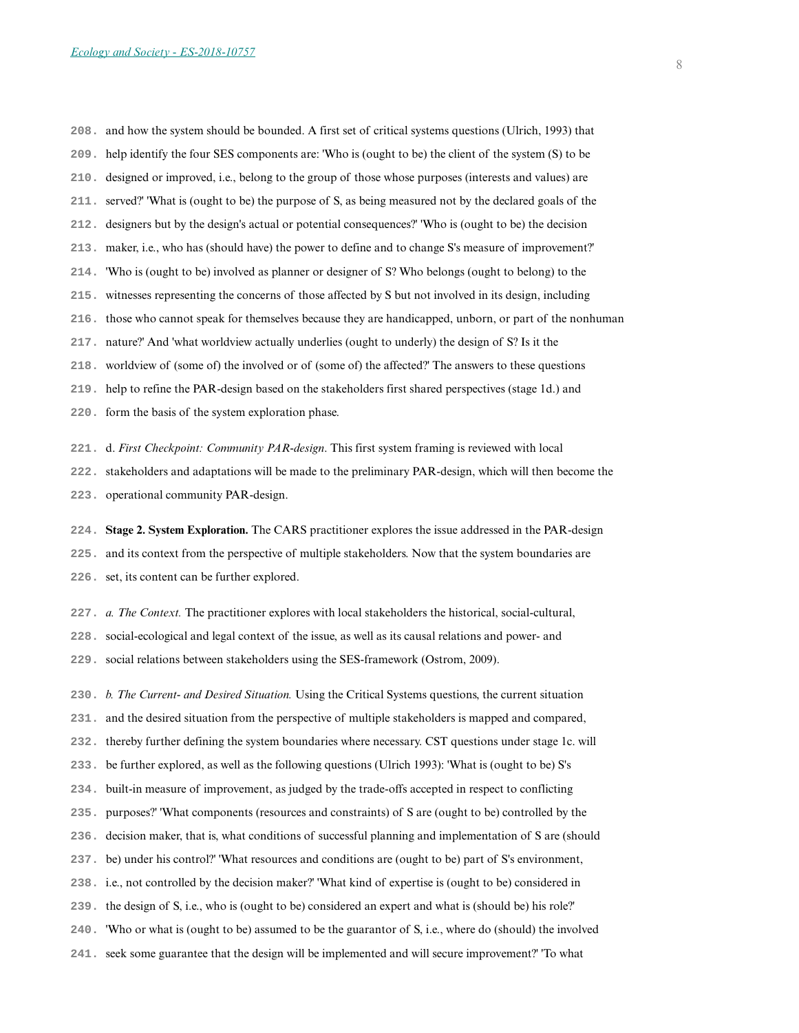**208.** and how the system should be bounded. A first set of critical systems questions (Ulrich, 1993) that **209.** help identify the four SES components are: 'Who is (ought to be) the client of the system (S) to be **210.** designed or improved, i.e., belong to the group of those whose purposes (interests and values) are **211.** served?' 'What is (ought to be) the purpose of S, as being measured not by the declared goals of the **212.** designers but by the design's actual or potential consequences?' 'Who is (ought to be) the decision **213.** maker, i.e., who has (should have) the power to define and to change S's measure of improvement?' **214.** 'Who is (ought to be) involved as planner or designer of S? Who belongs (ought to belong) to the **215.** witnesses representing the concerns of those affected by S but not involved in its design, including **216.** those who cannot speak for themselves because they are handicapped, unborn, or part of the nonhuman **217.** nature?' And 'what worldview actually underlies (ought to underly) the design of S? Is it the **218.** worldview of (some of) the involved or of (some of) the affected?' The answers to these questions **219.** help to refine the PAR-design based on the stakeholders first shared perspectives (stage 1d.) and **220.** form the basis of the system exploration phase.

**221.** d. *First Checkpoint: Community PAR-design*. This first system framing is reviewed with local

**222.** stakeholders and adaptations will be made to the preliminary PAR-design, which will then become the

**223.** operational community PAR-design.

**224. Stage 2. System Exploration.** The CARS practitioner explores the issue addressed in the PAR-design

**225.** and its context from the perspective of multiple stakeholders. Now that the system boundaries are

**226.** set, its content can be further explored.

**227.** *a. The Context.* The practitioner explores with local stakeholders the historical, social-cultural,

**228.** social-ecological and legal context of the issue, as well as its causal relations and power- and

**229.** social relations between stakeholders using the SES-framework (Ostrom, 2009).

**230.** *b. The Current- and Desired Situation.* Using the Critical Systems questions, the current situation

**231.** and the desired situation from the perspective of multiple stakeholders is mapped and compared,

**232.** thereby further defining the system boundaries where necessary. CST questions under stage 1c. will

**233.** be further explored, as well as the following questions (Ulrich 1993): 'What is (ought to be) S's

**234.** built-in measure of improvement, as judged by the trade-offs accepted in respect to conflicting

**235.** purposes?' 'What components (resources and constraints) of S are (ought to be) controlled by the

**236.** decision maker, that is, what conditions of successful planning and implementation of S are (should

**237.** be) under his control?' 'What resources and conditions are (ought to be) part of S's environment,

**238.** i.e., not controlled by the decision maker?' 'What kind of expertise is (ought to be) considered in

**239.** the design of S, i.e., who is (ought to be) considered an expert and what is (should be) his role?'

**240.** 'Who or what is (ought to be) assumed to be the guarantor of S, i.e., where do (should) the involved

**241.** seek some guarantee that the design will be implemented and will secure improvement?' 'To what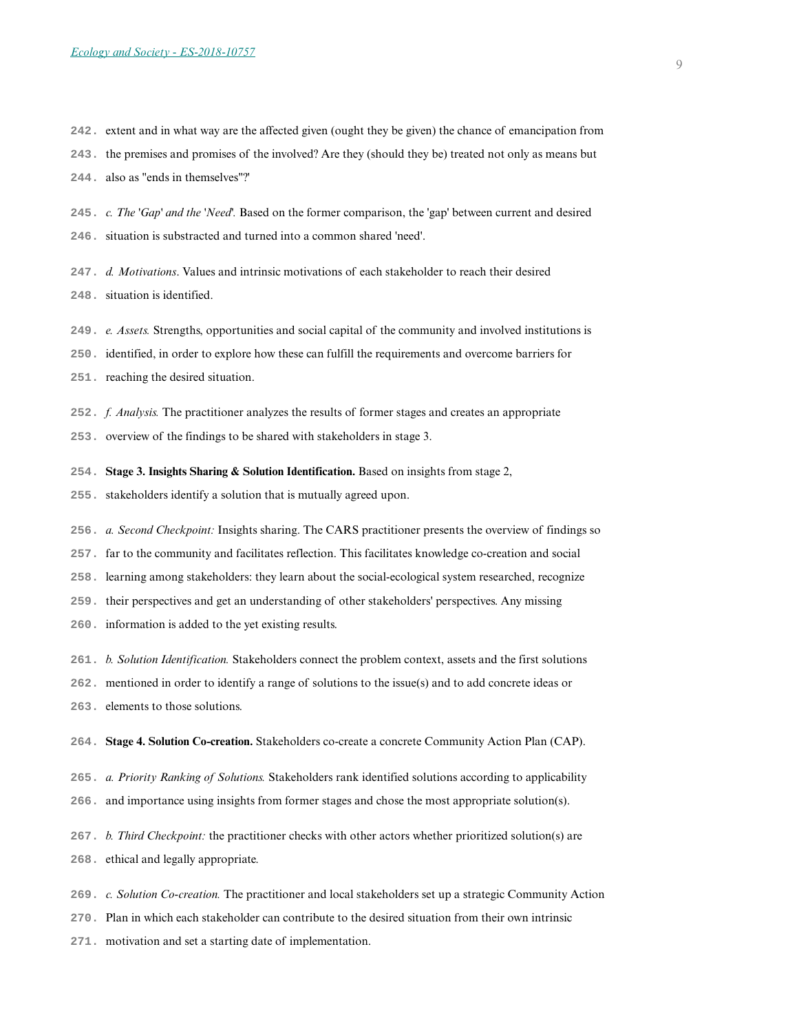- **242.** extent and in what way are the affected given (ought they be given) the chance of emancipation from
- **243.** the premises and promises of the involved? Are they (should they be) treated not only as means but
- **244.** also as "ends in themselves"?'
- **245.** *c. The 'Gap' and the 'Need'.* Based on the former comparison, the 'gap' between current and desired
- **246.** situation is substracted and turned into a common shared 'need'.
- **247.** *d. Motivations*. Values and intrinsic motivations of each stakeholder to reach their desired **248.** situation is identified.
- **249.** *e. Assets.* Strengths, opportunities and social capital of the community and involved institutions is
- **250.** identified, in order to explore how these can fulfill the requirements and overcome barriers for
- **251.** reaching the desired situation.
- **252.** *f. Analysis.* The practitioner analyzes the results of former stages and creates an appropriate
- **253.** overview of the findings to be shared with stakeholders in stage 3.
- **254. Stage 3. Insights Sharing & Solution Identification.** Based on insights from stage 2,
- **255.** stakeholders identify a solution that is mutually agreed upon.
- **256.** *a. Second Checkpoint:* Insights sharing. The CARS practitioner presents the overview of findings so
- **257.** far to the community and facilitates reflection. This facilitates knowledge co-creation and social
- **258.** learning among stakeholders: they learn about the social-ecological system researched, recognize
- **259.** their perspectives and get an understanding of other stakeholders' perspectives. Any missing
- **260.** information is added to the yet existing results.
- **261.** *b. Solution Identification.* Stakeholders connect the problem context, assets and the first solutions
- **262.** mentioned in order to identify a range of solutions to the issue(s) and to add concrete ideas or
- **263.** elements to those solutions.
- **264. Stage 4. Solution Co-creation.** Stakeholders co-create a concrete Community Action Plan (CAP).
- **265.** *a. Priority Ranking of Solutions.* Stakeholders rank identified solutions according to applicability
- **266.** and importance using insights from former stages and chose the most appropriate solution(s).
- **267.** *b. Third Checkpoint:* the practitioner checks with other actors whether prioritized solution(s) are
- **268.** ethical and legally appropriate.
- **269.** *c. Solution Co-creation.* The practitioner and local stakeholders set up a strategic Community Action
- **270.** Plan in which each stakeholder can contribute to the desired situation from their own intrinsic
- **271.** motivation and set a starting date of implementation.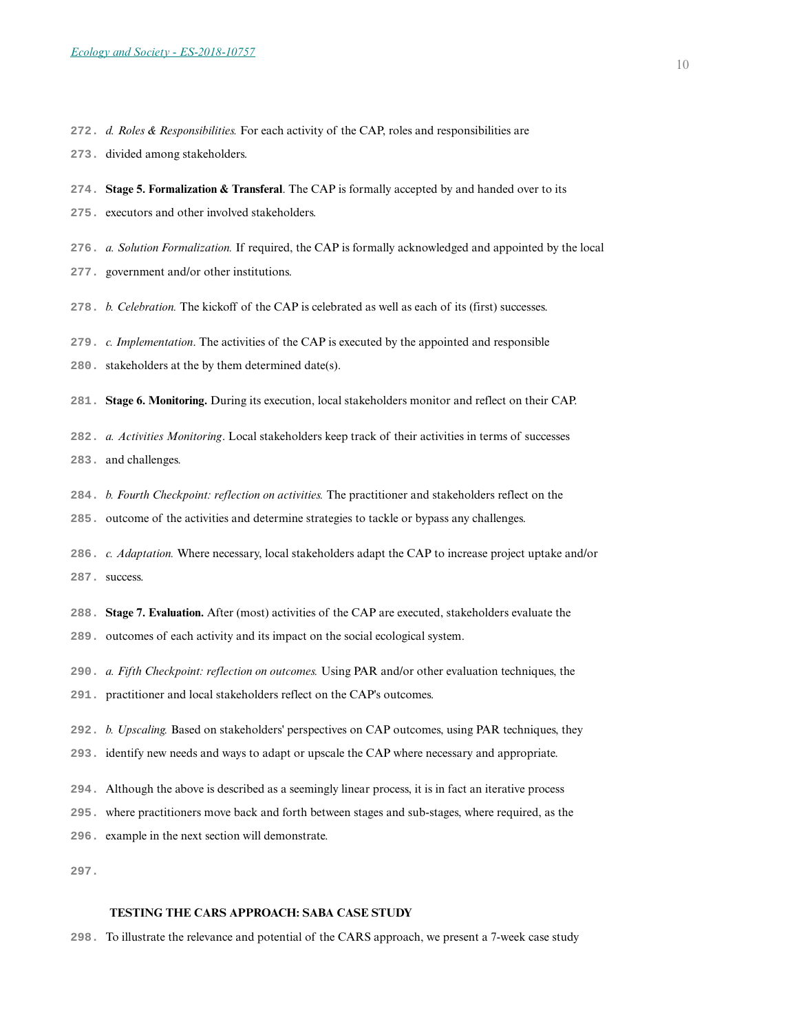- **272.** *d. Roles & Responsibilities.* For each activity of the CAP, roles and responsibilities are
- **273.** divided among stakeholders.
- **274. Stage 5. Formalization & Transferal**. The CAP is formally accepted by and handed over to its
- **275.** executors and other involved stakeholders.
- **276.** *a. Solution Formalization.* If required, the CAP is formally acknowledged and appointed by the local
- **277.** government and/or other institutions.
- **278.** *b. Celebration.* The kickoff of the CAP is celebrated as well as each of its (first) successes.
- **279.** *c. Implementation*. The activities of the CAP is executed by the appointed and responsible
- **280.** stakeholders at the by them determined date(s).
- **281. Stage 6. Monitoring.** During its execution, local stakeholders monitor and reflect on their CAP.
- **282.** *a. Activities Monitoring*. Local stakeholders keep track of their activities in terms of successes
- **283.** and challenges.
- **284.** *b. Fourth Checkpoint: reflection on activities.* The practitioner and stakeholders reflect on the
- **285.** outcome of the activities and determine strategies to tackle or bypass any challenges.
- **286.** *c. Adaptation.* Where necessary, local stakeholders adapt the CAP to increase project uptake and/or **287.** success.
- **288. Stage 7. Evaluation.** After (most) activities of the CAP are executed, stakeholders evaluate the
- **289.** outcomes of each activity and its impact on the social ecological system.
- **290.** *a. Fifth Checkpoint: reflection on outcomes.* Using PAR and/or other evaluation techniques, the
- **291.** practitioner and local stakeholders reflect on the CAP's outcomes.
- **292.** *b. Upscaling.* Based on stakeholders' perspectives on CAP outcomes, using PAR techniques, they
- **293.** identify new needs and ways to adapt or upscale the CAP where necessary and appropriate.
- **294.** Although the above is described as a seemingly linear process, it is in fact an iterative process
- **295.** where practitioners move back and forth between stages and sub-stages, where required, as the
- **296.** example in the next section will demonstrate.
- **297.**

## **TESTING THE CARS APPROACH: SABA CASE STUDY**

**298.** To illustrate the relevance and potential of the CARS approach, we present a 7-week case study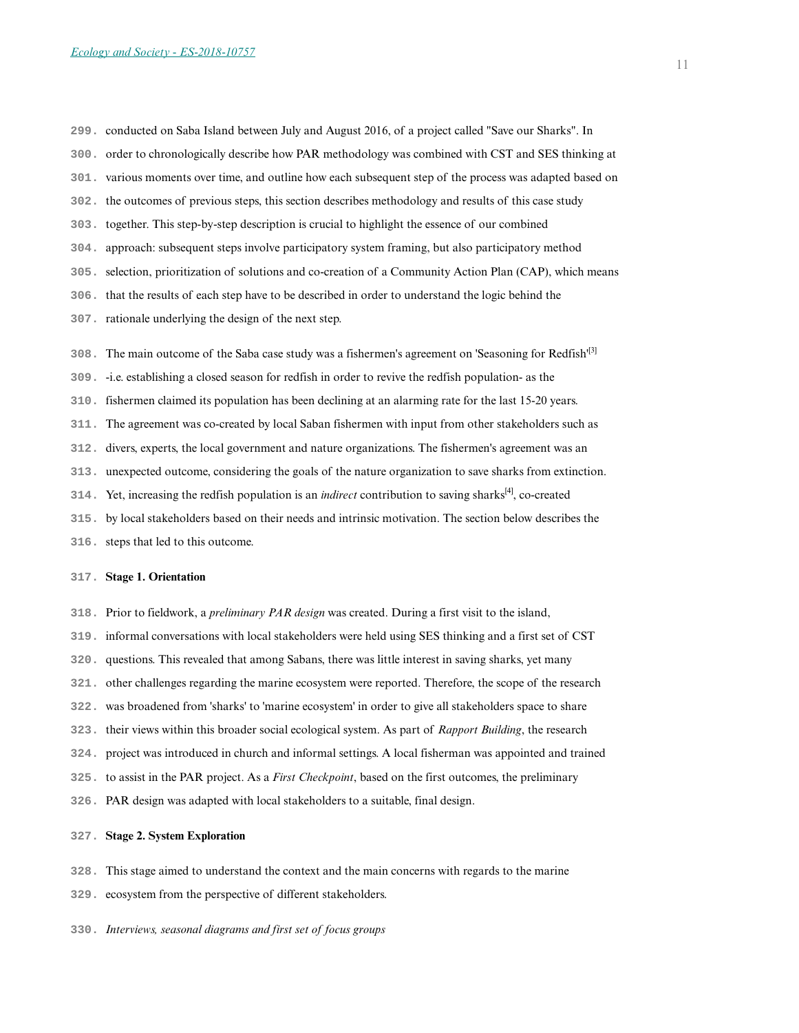- **299.** conducted on Saba Island between July and August 2016, of a project called "Save our Sharks". In
- **300.** order to chronologically describe how PAR methodology was combined with CST and SES thinking at
- **301.** various moments over time, and outline how each subsequent step of the process was adapted based on
- **302.** the outcomes of previous steps, this section describes methodology and results of this case study
- **303.** together. This step-by-step description is crucial to highlight the essence of our combined
- **304.** approach: subsequent steps involve participatory system framing, but also participatory method
- **305.** selection, prioritization of solutions and co-creation of a Community Action Plan (CAP), which means
- **306.** that the results of each step have to be described in order to understand the logic behind the
- **307.** rationale underlying the design of the next step.
- **308.** The main outcome of the Saba case study was a fishermen's agreement on 'Seasoning for Redfish'[3]
- **309.** -i.e. establishing a closed season for redfish in order to revive the redfish population- as the
- **310.** fishermen claimed its population has been declining at an alarming rate for the last 15-20 years.
- **311.** The agreement was co-created by local Saban fishermen with input from other stakeholders such as
- **312.** divers, experts, the local government and nature organizations. The fishermen's agreement was an
- **313.** unexpected outcome, considering the goals of the nature organization to save sharks from extinction.
- **314.** Yet, increasing the redfish population is an *indirect* contribution to saving sharks<sup>[4]</sup>, co-created
- **315.** by local stakeholders based on their needs and intrinsic motivation. The section below describes the
- **316.** steps that led to this outcome.

#### **317. Stage 1. Orientation**

- **318.** Prior to fieldwork, a *preliminary PAR design* was created. During a first visit to the island,
- **319.** informal conversations with local stakeholders were held using SES thinking and a first set of CST
- **320.** questions. This revealed that among Sabans, there was little interest in saving sharks, yet many
- **321.** other challenges regarding the marine ecosystem were reported. Therefore, the scope of the research
- **322.** was broadened from 'sharks' to 'marine ecosystem' in order to give all stakeholders space to share
- **323.** their views within this broader social ecological system. As part of *Rapport Building*, the research
- **324.** project was introduced in church and informal settings. A local fisherman was appointed and trained
- **325.** to assist in the PAR project. As a *First Checkpoint*, based on the first outcomes, the preliminary
- **326.** PAR design was adapted with local stakeholders to a suitable, final design.

#### **327. Stage 2. System Exploration**

- **328.** This stage aimed to understand the context and the main concerns with regards to the marine
- **329.** ecosystem from the perspective of different stakeholders.
- **330.** *Interviews, seasonal diagrams and first set of focus groups*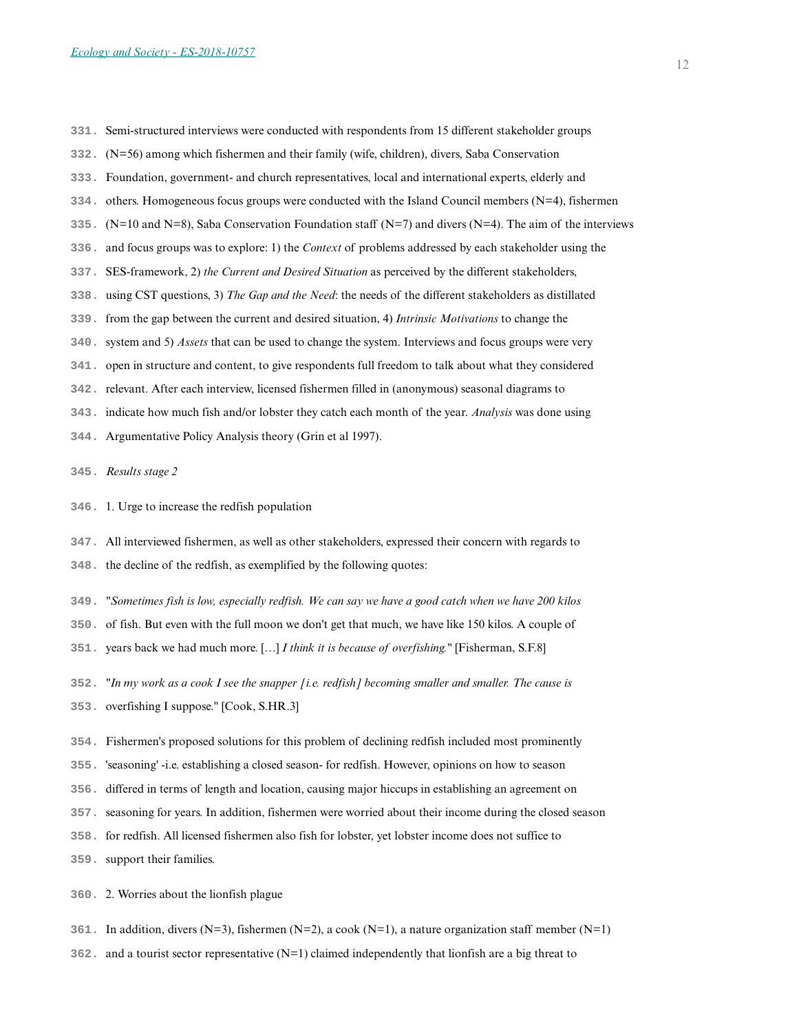- **331.** Semi-structured interviews were conducted with respondents from 15 different stakeholder groups
- **332.** (N=56) among which fishermen and their family (wife, children), divers, Saba Conservation
- **333.** Foundation, government- and church representatives, local and international experts, elderly and
- **334.** others. Homogeneous focus groups were conducted with the Island Council members (N=4), fishermen
- **335.** (N=10 and N=8), Saba Conservation Foundation staff (N=7) and divers (N=4). The aim of the interviews
- **336.** and focus groups was to explore: 1) the *Context* of problems addressed by each stakeholder using the
- **337.** SES-framework, 2) *the Current and Desired Situation* as perceived by the different stakeholders,
- **338.** using CST questions, 3) *The Gap and the Need*: the needs of the different stakeholders as distillated
- **339.** from the gap between the current and desired situation, 4) *Intrinsic Motivations* to change the
- **340.** system and 5) *Assets* that can be used to change the system. Interviews and focus groups were very
- **341.** open in structure and content, to give respondents full freedom to talk about what they considered
- **342.** relevant. After each interview, licensed fishermen filled in (anonymous) seasonal diagrams to
- **343.** indicate how much fish and/or lobster they catch each month of the year. *Analysis* was done using
- **344.** Argumentative Policy Analysis theory (Grin et al 1997).
- **345.** *Results stage 2*
- **346.** 1. Urge to increase the redfish population
- **347.** All interviewed fishermen, as well as other stakeholders, expressed their concern with regards to
- **348.** the decline of the redfish, as exemplified by the following quotes:
- **349.** *"Sometimes fish is low, especially redfish. We can say we have a good catch when we have 200 kilos*
- **350.** of fish. But even with the full moon we don't get that much, we have like 150 kilos. A couple of
- **351.** years back we had much more. […] *I think it is because of overfishing."* [Fisherman, S.F.8]
- **352.** *"In my work as a cook I see the snapper [i.e. redfish] becoming smaller and smaller. The cause is*
- **353.** overfishing I suppose." [Cook, S.HR.3]
- **354.** Fishermen's proposed solutions for this problem of declining redfish included most prominently
- **355.** 'seasoning' -i.e. establishing a closed season- for redfish. However, opinions on how to season
- **356.** differed in terms of length and location, causing major hiccups in establishing an agreement on
- **357.** seasoning for years. In addition, fishermen were worried about their income during the closed season
- **358.** for redfish. All licensed fishermen also fish for lobster, yet lobster income does not suffice to
- **359.** support their families.
- **360.** 2. Worries about the lionfish plague
- **361.** In addition, divers (N=3), fishermen (N=2), a cook (N=1), a nature organization staff member (N=1)
- **362.** and a tourist sector representative (N=1) claimed independently that lionfish are a big threat to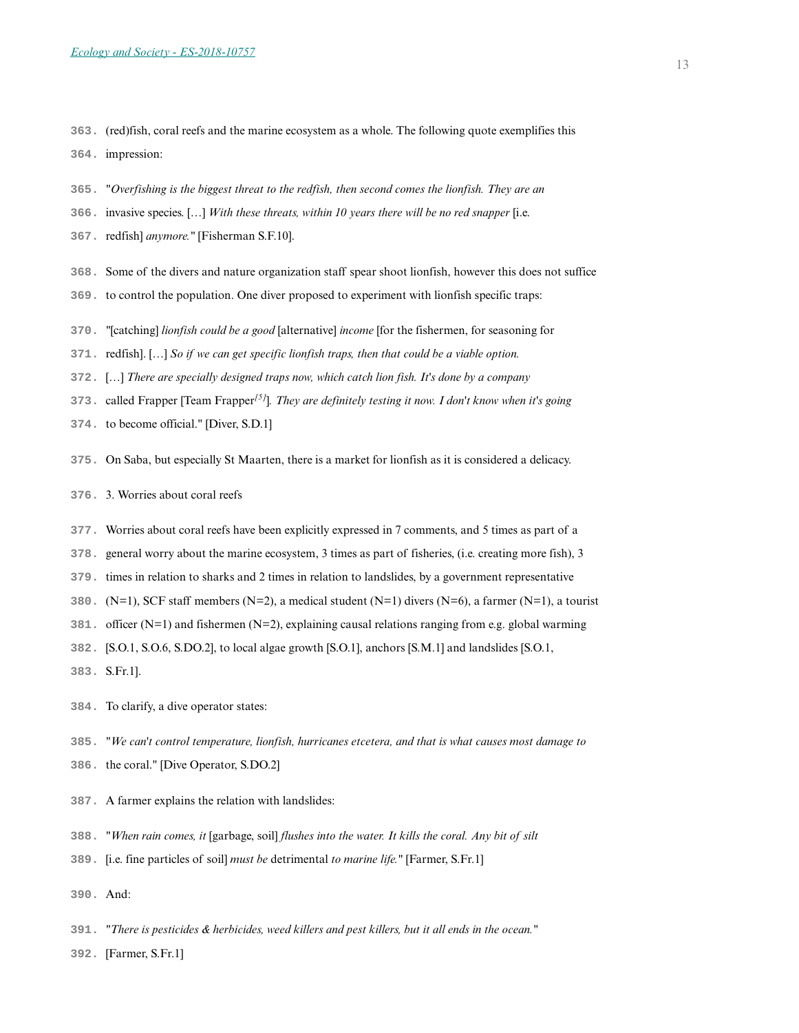**363.** (red)fish, coral reefs and the marine ecosystem as a whole. The following quote exemplifies this

**364.** impression:

- **365.** *"Overfishing is the biggest threat to the redfish, then second comes the lionfish. They are an*
- **366.** invasive species. […] *With these threats, within 10 years there will be no red snapper* [i.e.
- **367.** redfish] *anymore."* [Fisherman S.F.10].
- **368.** Some of the divers and nature organization staff spear shoot lionfish, however this does not suffice
- **369.** to control the population. One diver proposed to experiment with lionfish specific traps:
- **370.** *"*[catching] *lionfish could be a good* [alternative] *income* [for the fishermen, for seasoning for
- **371.** redfish]. […] *So if we can get specific lionfish traps, then that could be a viable option.*
- **372.** […] *There are specially designed traps now, which catch lion fish. It's done by a company*
- **373.** called Frapper [Team Frapper*[5]*]*. They are definitely testing it now. I don't know when it's going*
- **374.** to become official." [Diver, S.D.1]
- **375.** On Saba, but especially St Maarten, there is a market for lionfish as it is considered a delicacy.
- **376.** 3. Worries about coral reefs
- **377.** Worries about coral reefs have been explicitly expressed in 7 comments, and 5 times as part of a
- **378.** general worry about the marine ecosystem, 3 times as part of fisheries, (i.e. creating more fish), 3
- **379.** times in relation to sharks and 2 times in relation to landslides, by a government representative
- **380.** (N=1), SCF staff members (N=2), a medical student (N=1) divers (N=6), a farmer (N=1), a tourist
- **381.** officer (N=1) and fishermen (N=2), explaining causal relations ranging from e.g. global warming
- **382.** [S.O.1, S.O.6, S.DO.2], to local algae growth [S.O.1], anchors [S.M.1] and landslides [S.O.1,
- **383.** S.Fr.1].
- **384.** To clarify, a dive operator states:
- **385.** *"We can't control temperature, lionfish, hurricanes etcetera, and that is what causes most damage to*
- **386.** the coral." [Dive Operator, S.DO.2]
- **387.** A farmer explains the relation with landslides:
- **388.** *"When rain comes, it* [garbage, soil] *flushes into the water. It kills the coral. Any bit of silt*
- **389.** [i.e. fine particles of soil] *must be* detrimental *to marine life."* [Farmer, S.Fr.1]
- **390.** And:
- **391.** *"There is pesticides & herbicides, weed killers and pest killers, but it all ends in the ocean."*
- **392.** [Farmer, S.Fr.1]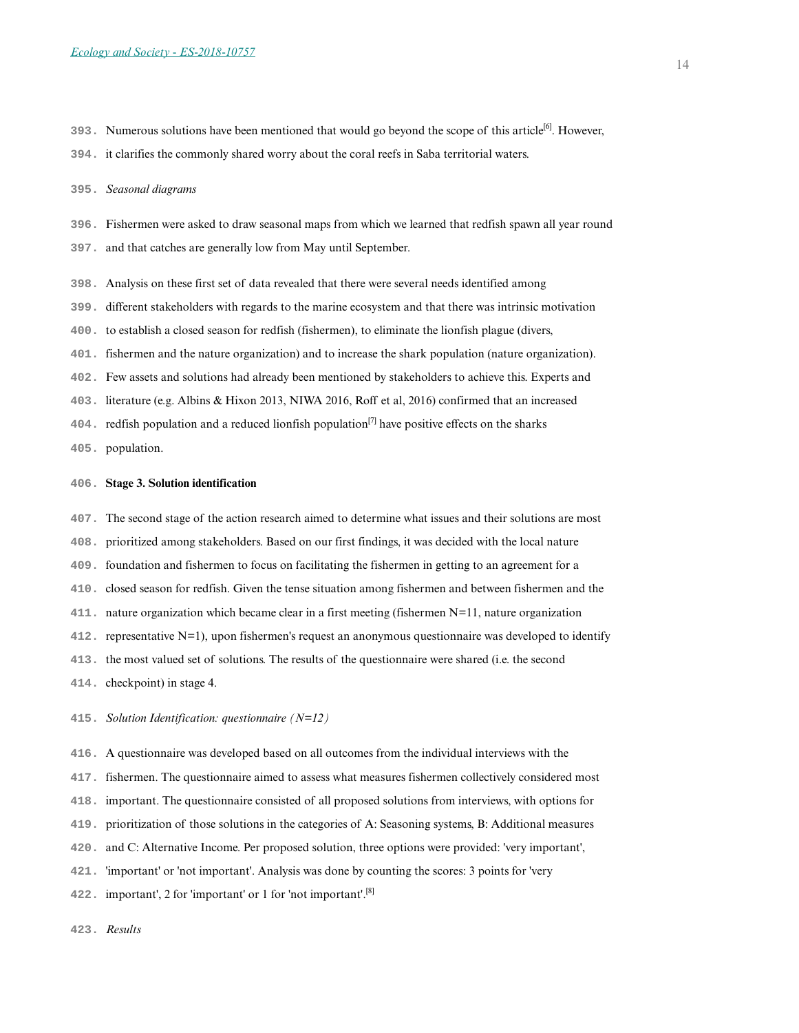**393.** Numerous solutions have been mentioned that would go beyond the scope of this article[6]. However,

**394.** it clarifies the commonly shared worry about the coral reefs in Saba territorial waters.

#### **395.** *Seasonal diagrams*

- **396.** Fishermen were asked to draw seasonal maps from which we learned that redfish spawn all year round
- **397.** and that catches are generally low from May until September.
- **398.** Analysis on these first set of data revealed that there were several needs identified among
- **399.** different stakeholders with regards to the marine ecosystem and that there was intrinsic motivation
- **400.** to establish a closed season for redfish (fishermen), to eliminate the lionfish plague (divers,
- **401.** fishermen and the nature organization) and to increase the shark population (nature organization).
- **402.** Few assets and solutions had already been mentioned by stakeholders to achieve this. Experts and
- **403.** literature (e.g. Albins & Hixon 2013, NIWA 2016, Roff et al, 2016) confirmed that an increased
- **404.** redfish population and a reduced lionfish population[7] have positive effects on the sharks
- **405.** population.

#### **406. Stage 3. Solution identification**

- **407.** The second stage of the action research aimed to determine what issues and their solutions are most
- **408.** prioritized among stakeholders. Based on our first findings, it was decided with the local nature
- **409.** foundation and fishermen to focus on facilitating the fishermen in getting to an agreement for a
- **410.** closed season for redfish. Given the tense situation among fishermen and between fishermen and the
- **411.** nature organization which became clear in a first meeting (fishermen N=11, nature organization
- **412.** representative N=1), upon fishermen's request an anonymous questionnaire was developed to identify
- **413.** the most valued set of solutions. The results of the questionnaire were shared (i.e. the second
- **414.** checkpoint) in stage 4.
- **415.** *Solution Identification: questionnaire (N=12)*
- **416.** A questionnaire was developed based on all outcomes from the individual interviews with the
- **417.** fishermen. The questionnaire aimed to assess what measures fishermen collectively considered most
- **418.** important. The questionnaire consisted of all proposed solutions from interviews, with options for
- **419.** prioritization of those solutions in the categories of A: Seasoning systems, B: Additional measures
- **420.** and C: Alternative Income. Per proposed solution, three options were provided: 'very important',
- **421.** 'important' or 'not important'. Analysis was done by counting the scores: 3 points for 'very
- **422.** important', 2 for 'important' or 1 for 'not important'.[8]

**423.** *Results*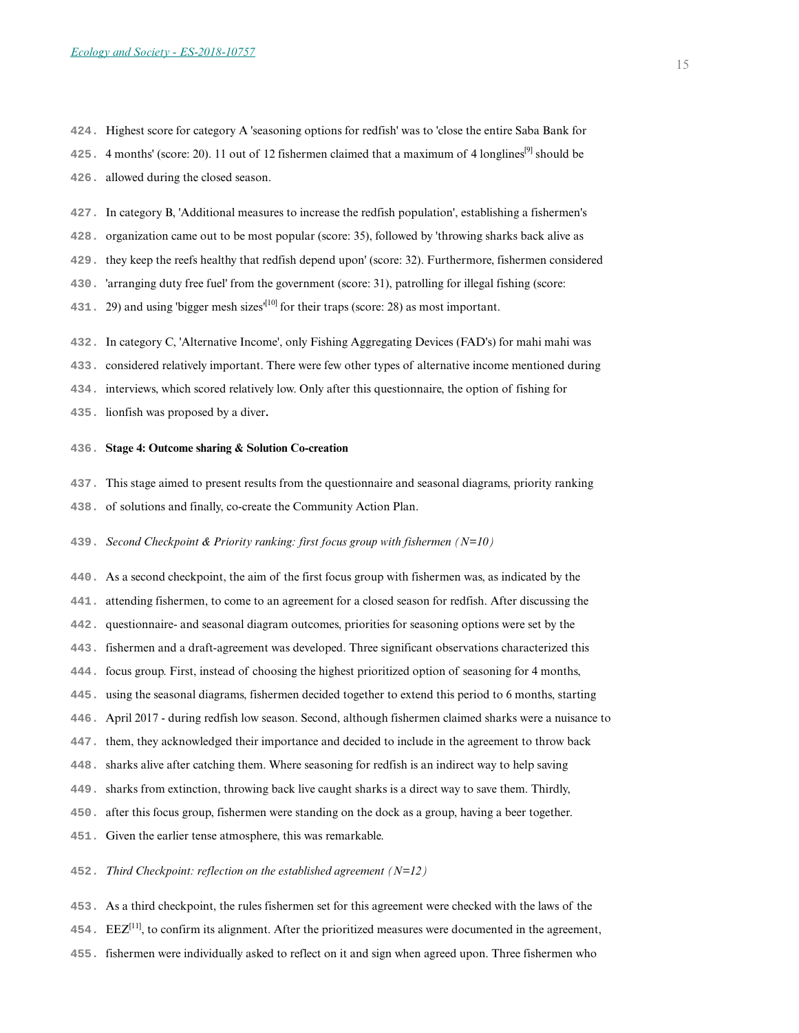**424.** Highest score for category A 'seasoning options for redfish' was to 'close the entire Saba Bank for

**425.** 4 months' (score: 20). 11 out of 12 fishermen claimed that a maximum of 4 longlines[9] should be

**426.** allowed during the closed season.

- **427.** In category B, 'Additional measures to increase the redfish population', establishing a fishermen's
- **428.** organization came out to be most popular (score: 35), followed by 'throwing sharks back alive as
- **429.** they keep the reefs healthy that redfish depend upon' (score: 32). Furthermore, fishermen considered
- **430.** 'arranging duty free fuel' from the government (score: 31), patrolling for illegal fishing (score:
- **431.** 29) and using 'bigger mesh sizes'[10] for their traps (score: 28) as most important.
- **432.** In category C, 'Alternative Income', only Fishing Aggregating Devices (FAD's) for mahi mahi was
- **433.** considered relatively important. There were few other types of alternative income mentioned during
- **434.** interviews, which scored relatively low. Only after this questionnaire, the option of fishing for
- **435.** lionfish was proposed by a diver**.**

#### **436. Stage 4: Outcome sharing & Solution Co-creation**

- **437.** This stage aimed to present results from the questionnaire and seasonal diagrams, priority ranking
- **438.** of solutions and finally, co-create the Community Action Plan.
- **439.** *Second Checkpoint & Priority ranking: first focus group with fishermen (N=10)*
- **440.** As a second checkpoint, the aim of the first focus group with fishermen was, as indicated by the
- **441.** attending fishermen, to come to an agreement for a closed season for redfish. After discussing the
- **442.** questionnaire- and seasonal diagram outcomes, priorities for seasoning options were set by the
- **443.** fishermen and a draft-agreement was developed. Three significant observations characterized this
- **444.** focus group. First, instead of choosing the highest prioritized option of seasoning for 4 months,
- **445.** using the seasonal diagrams, fishermen decided together to extend this period to 6 months, starting
- **446.** April 2017 during redfish low season. Second, although fishermen claimed sharks were a nuisance to
- **447.** them, they acknowledged their importance and decided to include in the agreement to throw back
- **448.** sharks alive after catching them. Where seasoning for redfish is an indirect way to help saving
- **449.** sharks from extinction, throwing back live caught sharks is a direct way to save them. Thirdly,
- **450.** after this focus group, fishermen were standing on the dock as a group, having a beer together.
- **451.** Given the earlier tense atmosphere, this was remarkable.
- **452.** *Third Checkpoint: reflection on the established agreement (N=12)*
- **453.** As a third checkpoint, the rules fishermen set for this agreement were checked with the laws of the
- **454.** EEZ[11], to confirm its alignment. After the prioritized measures were documented in the agreement,
- **455.** fishermen were individually asked to reflect on it and sign when agreed upon. Three fishermen who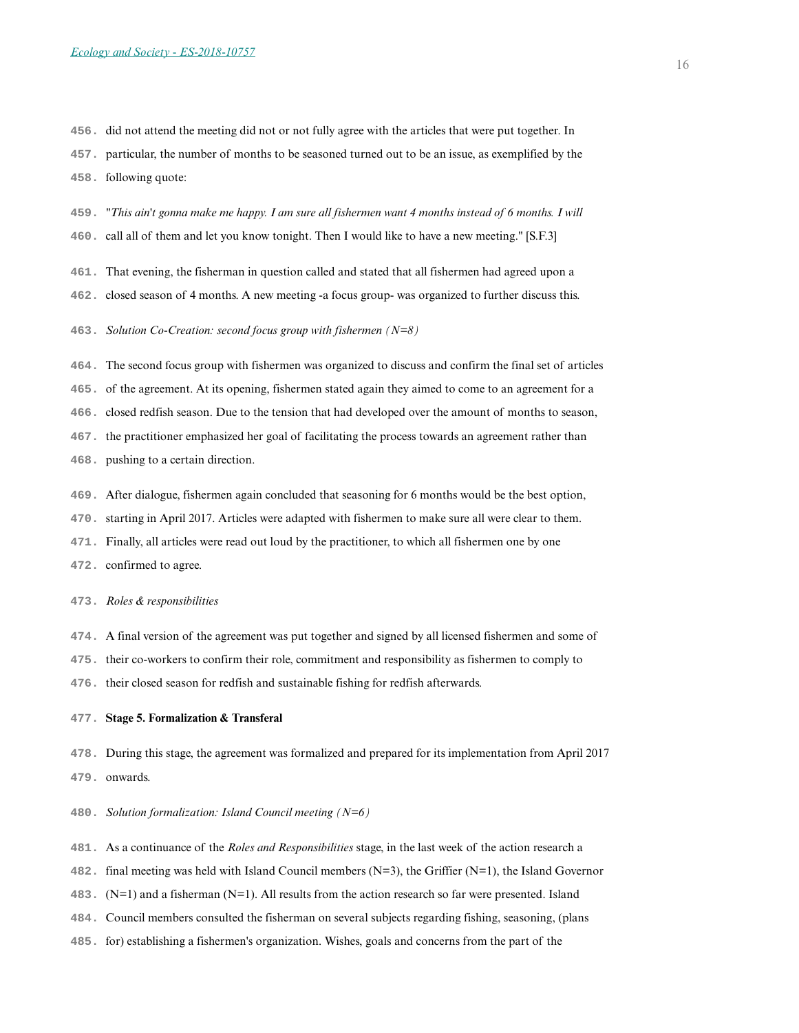**456.** did not attend the meeting did not or not fully agree with the articles that were put together. In

**457.** particular, the number of months to be seasoned turned out to be an issue, as exemplified by the **458.** following quote:

**459.** *"This ain't gonna make me happy. I am sure all fishermen want 4 months instead of 6 months. I will* **460.** call all of them and let you know tonight. Then I would like to have a new meeting." [S.F.3]

**461.** That evening, the fisherman in question called and stated that all fishermen had agreed upon a

**462.** closed season of 4 months. A new meeting -a focus group- was organized to further discuss this.

**463.** *Solution Co-Creation: second focus group with fishermen (N=8)*

**464.** The second focus group with fishermen was organized to discuss and confirm the final set of articles

**465.** of the agreement. At its opening, fishermen stated again they aimed to come to an agreement for a

**466.** closed redfish season. Due to the tension that had developed over the amount of months to season,

**467.** the practitioner emphasized her goal of facilitating the process towards an agreement rather than

- **468.** pushing to a certain direction.
- **469.** After dialogue, fishermen again concluded that seasoning for 6 months would be the best option,
- **470.** starting in April 2017. Articles were adapted with fishermen to make sure all were clear to them.
- **471.** Finally, all articles were read out loud by the practitioner, to which all fishermen one by one
- **472.** confirmed to agree.

#### **473.** *Roles & responsibilities*

- **474.** A final version of the agreement was put together and signed by all licensed fishermen and some of
- **475.** their co-workers to confirm their role, commitment and responsibility as fishermen to comply to

**476.** their closed season for redfish and sustainable fishing for redfish afterwards.

#### **477. Stage 5. Formalization & Transferal**

**478.** During this stage, the agreement was formalized and prepared for its implementation from April 2017

**479.** onwards.

**480.** *Solution formalization: Island Council meeting (N=6)*

- **481.** As a continuance of the *Roles and Responsibilities* stage, in the last week of the action research a
- **482.** final meeting was held with Island Council members (N=3), the Griffier (N=1), the Island Governor
- **483.** (N=1) and a fisherman (N=1). All results from the action research so far were presented. Island
- **484.** Council members consulted the fisherman on several subjects regarding fishing, seasoning, (plans
- **485.** for) establishing a fishermen's organization. Wishes, goals and concerns from the part of the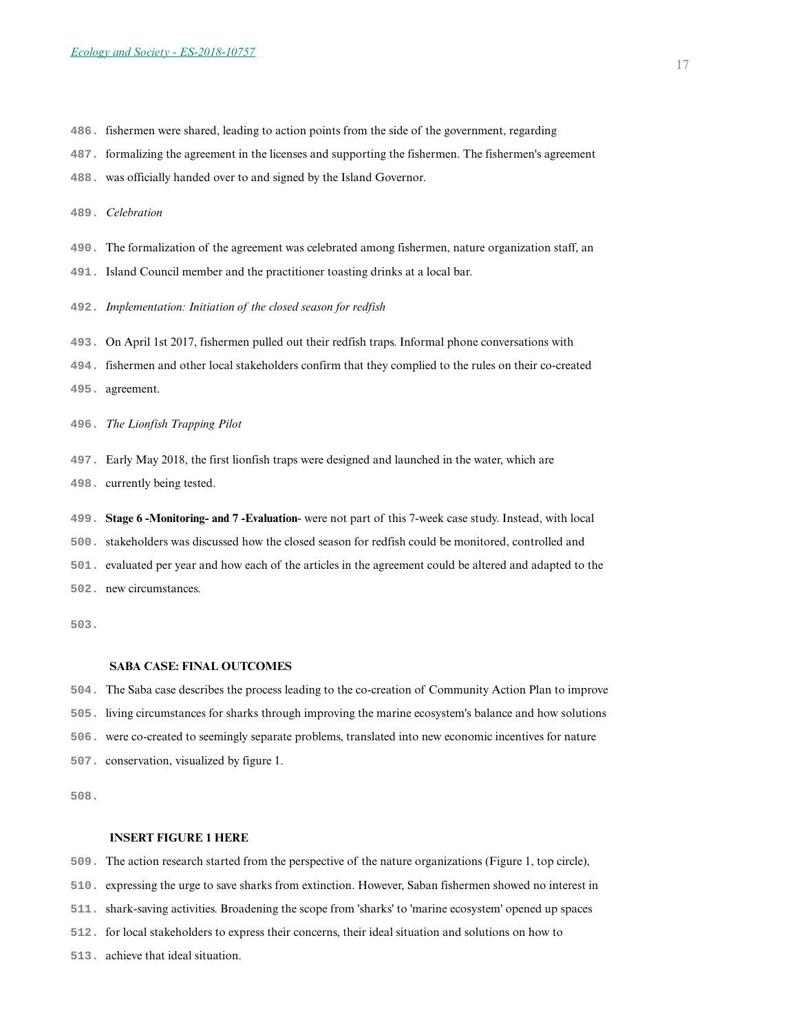- **486.** fishermen were shared, leading to action points from the side of the government, regarding
- **487.** formalizing the agreement in the licenses and supporting the fishermen. The fishermen's agreement
- **488.** was officially handed over to and signed by the Island Governor.
- **489.** *Celebration*
- **490.** The formalization of the agreement was celebrated among fishermen, nature organization staff, an
- **491.** Island Council member and the practitioner toasting drinks at a local bar.
- **492.** *Implementation: Initiation of the closed season for redfish*
- **493.** On April 1st 2017, fishermen pulled out their redfish traps. Informal phone conversations with
- **494.** fishermen and other local stakeholders confirm that they complied to the rules on their co-created
- **495.** agreement.
- **496.** *The Lionfish Trapping Pilot*
- **497.** Early May 2018, the first lionfish traps were designed and launched in the water, which are
- **498.** currently being tested.
- **499. Stage 6 -Monitoring- and 7 -Evaluation** were not part of this 7-week case study. Instead, with local **500.** stakeholders was discussed how the closed season for redfish could be monitored, controlled and **501.** evaluated per year and how each of the articles in the agreement could be altered and adapted to the **502.** new circumstances.

**503.** 

### **SABA CASE: FINAL OUTCOMES**

- **504.** The Saba case describes the process leading to the co-creation of Community Action Plan to improve
- **505.** living circumstances for sharks through improving the marine ecosystem's balance and how solutions
- **506.** were co-created to seemingly separate problems, translated into new economic incentives for nature
- **507.** conservation, visualized by figure 1.

**508.** 

## **INSERT FIGURE 1 HERE**

- **509.** The action research started from the perspective of the nature organizations (Figure 1, top circle),
- **510.** expressing the urge to save sharks from extinction. However, Saban fishermen showed no interest in
- **511.** shark-saving activities. Broadening the scope from 'sharks' to 'marine ecosystem' opened up spaces
- **512.** for local stakeholders to express their concerns, their ideal situation and solutions on how to
- **513.** achieve that ideal situation.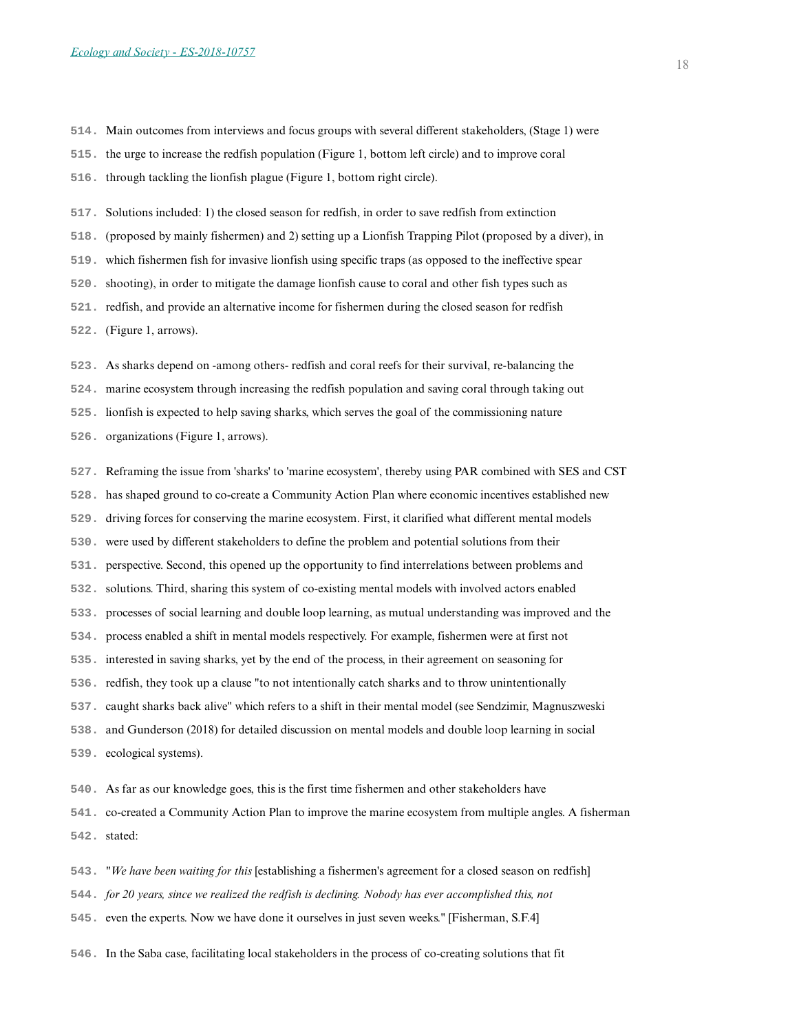- **514.** Main outcomes from interviews and focus groups with several different stakeholders, (Stage 1) were
- **515.** the urge to increase the redfish population (Figure 1, bottom left circle) and to improve coral
- **516.** through tackling the lionfish plague (Figure 1, bottom right circle).
- **517.** Solutions included: 1) the closed season for redfish, in order to save redfish from extinction
- **518.** (proposed by mainly fishermen) and 2) setting up a Lionfish Trapping Pilot (proposed by a diver), in
- **519.** which fishermen fish for invasive lionfish using specific traps (as opposed to the ineffective spear
- **520.** shooting), in order to mitigate the damage lionfish cause to coral and other fish types such as
- **521.** redfish, and provide an alternative income for fishermen during the closed season for redfish
- **522.** (Figure 1, arrows).
- **523.** As sharks depend on -among others- redfish and coral reefs for their survival, re-balancing the
- **524.** marine ecosystem through increasing the redfish population and saving coral through taking out
- **525.** lionfish is expected to help saving sharks, which serves the goal of the commissioning nature
- **526.** organizations (Figure 1, arrows).
- **527.** Reframing the issue from 'sharks' to 'marine ecosystem', thereby using PAR combined with SES and CST
- **528.** has shaped ground to co-create a Community Action Plan where economic incentives established new
- **529.** driving forces for conserving the marine ecosystem. First, it clarified what different mental models
- **530.** were used by different stakeholders to define the problem and potential solutions from their
- **531.** perspective. Second, this opened up the opportunity to find interrelations between problems and
- **532.** solutions. Third, sharing this system of co-existing mental models with involved actors enabled
- **533.** processes of social learning and double loop learning, as mutual understanding was improved and the
- **534.** process enabled a shift in mental models respectively. For example, fishermen were at first not
- **535.** interested in saving sharks, yet by the end of the process, in their agreement on seasoning for
- **536.** redfish, they took up a clause "to not intentionally catch sharks and to throw unintentionally
- **537.** caught sharks back alive" which refers to a shift in their mental model (see Sendzimir, Magnuszweski
- **538.** and Gunderson (2018) for detailed discussion on mental models and double loop learning in social
- **539.** ecological systems).
- **540.** As far as our knowledge goes, this is the first time fishermen and other stakeholders have
- **541.** co-created a Community Action Plan to improve the marine ecosystem from multiple angles. A fisherman **542.** stated:
- **543.** *"We have been waiting for this* [establishing a fishermen's agreement for a closed season on redfish]
- **544.** *for 20 years, since we realized the redfish is declining. Nobody has ever accomplished this, not*
- **545.** even the experts. Now we have done it ourselves in just seven weeks." [Fisherman, S.F.4]
- **546.** In the Saba case, facilitating local stakeholders in the process of co-creating solutions that fit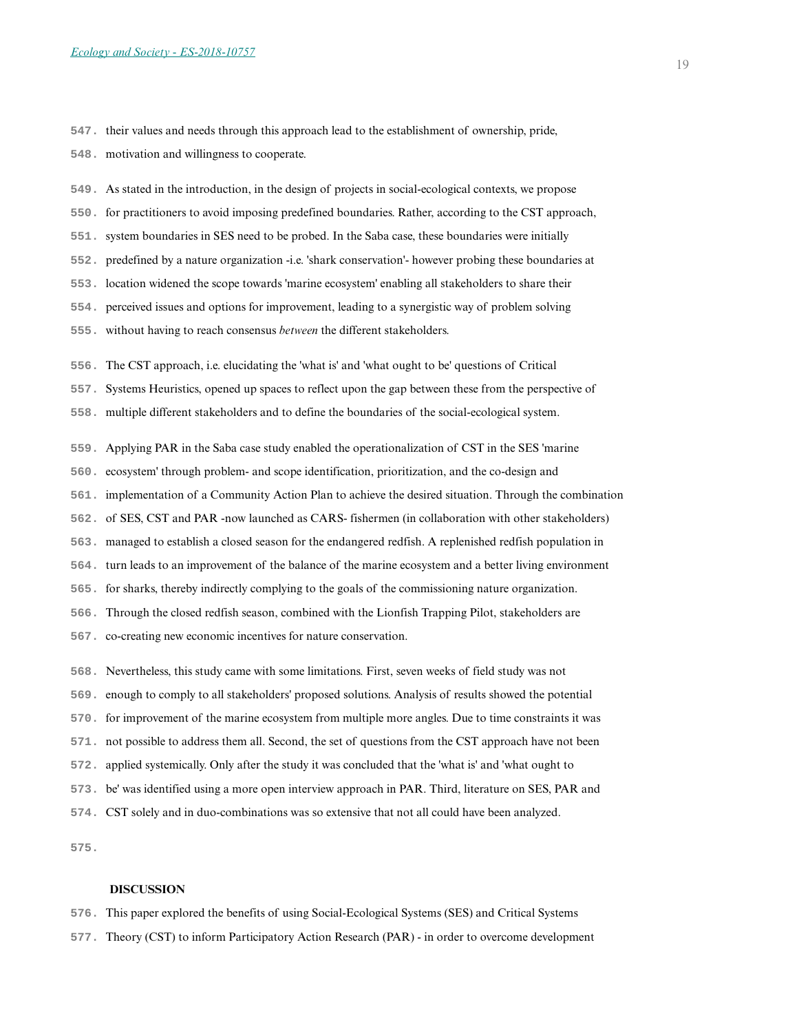**547.** their values and needs through this approach lead to the establishment of ownership, pride,

**548.** motivation and willingness to cooperate.

**549.** As stated in the introduction, in the design of projects in social-ecological contexts, we propose

**550.** for practitioners to avoid imposing predefined boundaries. Rather, according to the CST approach,

**551.** system boundaries in SES need to be probed. In the Saba case, these boundaries were initially

**552.** predefined by a nature organization -i.e. 'shark conservation'- however probing these boundaries at

**553.** location widened the scope towards 'marine ecosystem' enabling all stakeholders to share their

**554.** perceived issues and options for improvement, leading to a synergistic way of problem solving

**555.** without having to reach consensus *between* the different stakeholders.

**556.** The CST approach, i.e. elucidating the 'what is' and 'what ought to be' questions of Critical

**557.** Systems Heuristics, opened up spaces to reflect upon the gap between these from the perspective of

**558.** multiple different stakeholders and to define the boundaries of the social-ecological system.

**559.** Applying PAR in the Saba case study enabled the operationalization of CST in the SES 'marine

**560.** ecosystem' through problem- and scope identification, prioritization, and the co-design and

**561.** implementation of a Community Action Plan to achieve the desired situation. Through the combination

**562.** of SES, CST and PAR -now launched as CARS- fishermen (in collaboration with other stakeholders)

**563.** managed to establish a closed season for the endangered redfish. A replenished redfish population in

**564.** turn leads to an improvement of the balance of the marine ecosystem and a better living environment

**565.** for sharks, thereby indirectly complying to the goals of the commissioning nature organization.

**566.** Through the closed redfish season, combined with the Lionfish Trapping Pilot, stakeholders are

**567.** co-creating new economic incentives for nature conservation.

**568.** Nevertheless, this study came with some limitations. First, seven weeks of field study was not

**569.** enough to comply to all stakeholders' proposed solutions. Analysis of results showed the potential

**570.** for improvement of the marine ecosystem from multiple more angles. Due to time constraints it was

**571.** not possible to address them all. Second, the set of questions from the CST approach have not been

**572.** applied systemically. Only after the study it was concluded that the 'what is' and 'what ought to

**573.** be' was identified using a more open interview approach in PAR. Third, literature on SES, PAR and

**574.** CST solely and in duo-combinations was so extensive that not all could have been analyzed.

**575.** 

## **DISCUSSION**

**576.** This paper explored the benefits of using Social-Ecological Systems (SES) and Critical Systems

**577.** Theory (CST) to inform Participatory Action Research (PAR) - in order to overcome development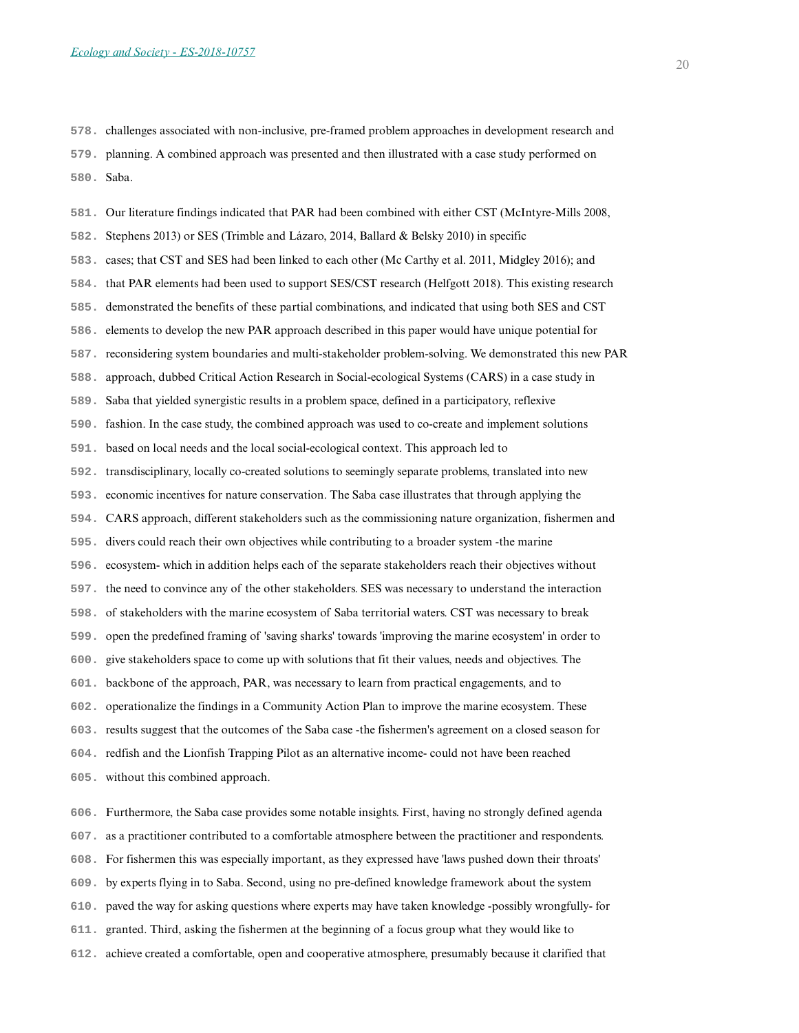**578.** challenges associated with non-inclusive, pre-framed problem approaches in development research and

**579.** planning. A combined approach was presented and then illustrated with a case study performed on **580.** Saba.

**581.** Our literature findings indicated that PAR had been combined with either CST (McIntyre-Mills 2008, **582.** Stephens 2013) or SES (Trimble and Lázaro, 2014, Ballard & Belsky 2010) in specific **583.** cases; that CST and SES had been linked to each other (Mc Carthy et al. 2011, Midgley 2016); and **584.** that PAR elements had been used to support SES/CST research (Helfgott 2018). This existing research **585.** demonstrated the benefits of these partial combinations, and indicated that using both SES and CST **586.** elements to develop the new PAR approach described in this paper would have unique potential for **587.** reconsidering system boundaries and multi-stakeholder problem-solving. We demonstrated this new PAR **588.** approach, dubbed Critical Action Research in Social-ecological Systems (CARS) in a case study in **589.** Saba that yielded synergistic results in a problem space, defined in a participatory, reflexive **590.** fashion. In the case study, the combined approach was used to co-create and implement solutions **591.** based on local needs and the local social-ecological context. This approach led to **592.** transdisciplinary, locally co-created solutions to seemingly separate problems, translated into new **593.** economic incentives for nature conservation. The Saba case illustrates that through applying the **594.** CARS approach, different stakeholders such as the commissioning nature organization, fishermen and **595.** divers could reach their own objectives while contributing to a broader system -the marine **596.** ecosystem- which in addition helps each of the separate stakeholders reach their objectives without **597.** the need to convince any of the other stakeholders. SES was necessary to understand the interaction **598.** of stakeholders with the marine ecosystem of Saba territorial waters. CST was necessary to break **599.** open the predefined framing of 'saving sharks' towards 'improving the marine ecosystem' in order to **600.** give stakeholders space to come up with solutions that fit their values, needs and objectives. The **601.** backbone of the approach, PAR, was necessary to learn from practical engagements, and to **602.** operationalize the findings in a Community Action Plan to improve the marine ecosystem. These **603.** results suggest that the outcomes of the Saba case -the fishermen's agreement on a closed season for **604.** redfish and the Lionfish Trapping Pilot as an alternative income- could not have been reached **605.** without this combined approach. **606.** Furthermore, the Saba case provides some notable insights. First, having no strongly defined agenda

**607.** as a practitioner contributed to a comfortable atmosphere between the practitioner and respondents.

**608.** For fishermen this was especially important, as they expressed have 'laws pushed down their throats'

**609.** by experts flying in to Saba. Second, using no pre-defined knowledge framework about the system

**610.** paved the way for asking questions where experts may have taken knowledge -possibly wrongfully- for

**611.** granted. Third, asking the fishermen at the beginning of a focus group what they would like to

**612.** achieve created a comfortable, open and cooperative atmosphere, presumably because it clarified that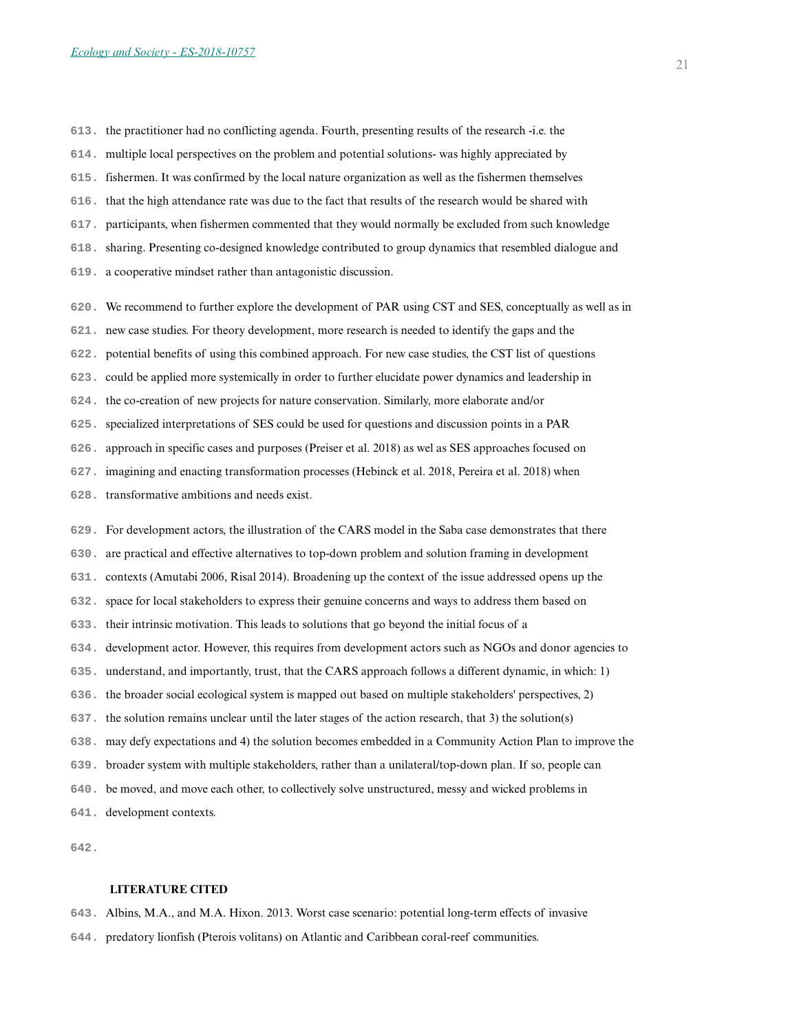- **613.** the practitioner had no conflicting agenda. Fourth, presenting results of the research -i.e. the
- **614.** multiple local perspectives on the problem and potential solutions- was highly appreciated by
- **615.** fishermen. It was confirmed by the local nature organization as well as the fishermen themselves
- **616.** that the high attendance rate was due to the fact that results of the research would be shared with
- **617.** participants, when fishermen commented that they would normally be excluded from such knowledge
- **618.** sharing. Presenting co-designed knowledge contributed to group dynamics that resembled dialogue and
- **619.** a cooperative mindset rather than antagonistic discussion.
- **620.** We recommend to further explore the development of PAR using CST and SES, conceptually as well as in
- **621.** new case studies. For theory development, more research is needed to identify the gaps and the
- **622.** potential benefits of using this combined approach. For new case studies, the CST list of questions
- **623.** could be applied more systemically in order to further elucidate power dynamics and leadership in
- **624.** the co-creation of new projects for nature conservation. Similarly, more elaborate and/or
- **625.** specialized interpretations of SES could be used for questions and discussion points in a PAR
- **626.** approach in specific cases and purposes (Preiser et al. 2018) as wel as SES approaches focused on
- **627.** imagining and enacting transformation processes (Hebinck et al. 2018, Pereira et al. 2018) when
- **628.** transformative ambitions and needs exist.
- **629.** For development actors, the illustration of the CARS model in the Saba case demonstrates that there
- **630.** are practical and effective alternatives to top-down problem and solution framing in development
- **631.** contexts (Amutabi 2006, Risal 2014). Broadening up the context of the issue addressed opens up the
- **632.** space for local stakeholders to express their genuine concerns and ways to address them based on
- **633.** their intrinsic motivation. This leads to solutions that go beyond the initial focus of a
- **634.** development actor. However, this requires from development actors such as NGOs and donor agencies to
- **635.** understand, and importantly, trust, that the CARS approach follows a different dynamic, in which: 1)
- **636.** the broader social ecological system is mapped out based on multiple stakeholders' perspectives, 2)
- **637.** the solution remains unclear until the later stages of the action research, that 3) the solution(s)
- **638.** may defy expectations and 4) the solution becomes embedded in a Community Action Plan to improve the
- **639.** broader system with multiple stakeholders, rather than a unilateral/top-down plan. If so, people can
- **640.** be moved, and move each other, to collectively solve unstructured, messy and wicked problems in
- **641.** development contexts.
- **642.**

## **LITERATURE CITED**

- **643.** Albins, M.A., and M.A. Hixon. 2013. Worst case scenario: potential long-term effects of invasive
- **644.** predatory lionfish (Pterois volitans) on Atlantic and Caribbean coral-reef communities.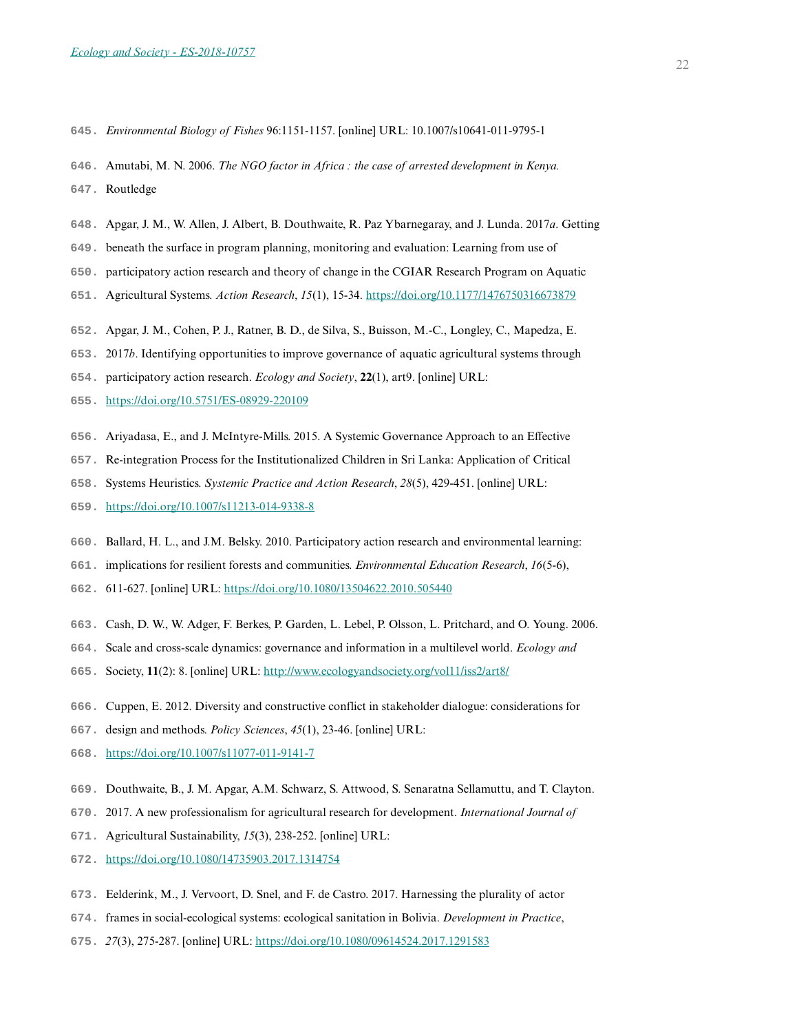- **645.** *Environmental Biology of Fishes* 96:1151-1157. [online] URL: 10.1007/s10641-011-9795-1
- **646.** Amutabi, M. N. 2006. *The NGO factor in Africa : the case of arrested development in Kenya.*
- **647.** Routledge
- **648.** Apgar, J. M., W. Allen, J. Albert, B. Douthwaite, R. Paz Ybarnegaray, and J. Lunda. 2017*a*. Getting
- **649.** beneath the surface in program planning, monitoring and evaluation: Learning from use of
- **650.** participatory action research and theory of change in the CGIAR Research Program on Aquatic
- **651.** Agricultural Systems. *Action Research*, *15*(1), 15-34.<https://doi.org/10.1177/1476750316673879>
- **652.** Apgar, J. M., Cohen, P. J., Ratner, B. D., de Silva, S., Buisson, M.-C., Longley, C., Mapedza, E.
- **653.** 2017*b*. Identifying opportunities to improve governance of aquatic agricultural systems through
- **654.** participatory action research. *Ecology and Society*, **22**(1), art9. [online] URL:
- **655.** <https://doi.org/10.5751/ES-08929-220109>
- **656.** Ariyadasa, E., and J. McIntyre-Mills. 2015. A Systemic Governance Approach to an Effective
- **657.** Re-integration Process for the Institutionalized Children in Sri Lanka: Application of Critical
- **658.** Systems Heuristics. *Systemic Practice and Action Research*, *28*(5), 429-451. [online] URL:
- **659.** <https://doi.org/10.1007/s11213-014-9338-8>
- **660.** Ballard, H. L., and J.M. Belsky. 2010. Participatory action research and environmental learning:
- **661.** implications for resilient forests and communities. *Environmental Education Research*, *16*(5-6),
- **662.** 611-627. [online] URL: <https://doi.org/10.1080/13504622.2010.505440>
- **663.** Cash, D. W., W. Adger, F. Berkes, P. Garden, L. Lebel, P. Olsson, L. Pritchard, and O. Young. 2006.
- **664.** Scale and cross-scale dynamics: governance and information in a multilevel world. *Ecology and*
- **665.** Society, **11**(2): 8. [online] URL: <http://www.ecologyandsociety.org/vol11/iss2/art8/>
- **666.** Cuppen, E. 2012. Diversity and constructive conflict in stakeholder dialogue: considerations for
- **667.** design and methods. *Policy Sciences*, *45*(1), 23-46. [online] URL:
- **668.** <https://doi.org/10.1007/s11077-011-9141-7>
- **669.** Douthwaite, B., J. M. Apgar, A.M. Schwarz, S. Attwood, S. Senaratna Sellamuttu, and T. Clayton.
- **670.** 2017. A new professionalism for agricultural research for development. *International Journal of*
- **671.** Agricultural Sustainability, *15*(3), 238-252. [online] URL:
- **672.** <https://doi.org/10.1080/14735903.2017.1314754>
- **673.** Eelderink, M., J. Vervoort, D. Snel, and F. de Castro. 2017. Harnessing the plurality of actor
- **674.** frames in social-ecological systems: ecological sanitation in Bolivia. *Development in Practice*,
- **675.** *27*(3), 275-287. [online] URL: <https://doi.org/10.1080/09614524.2017.1291583>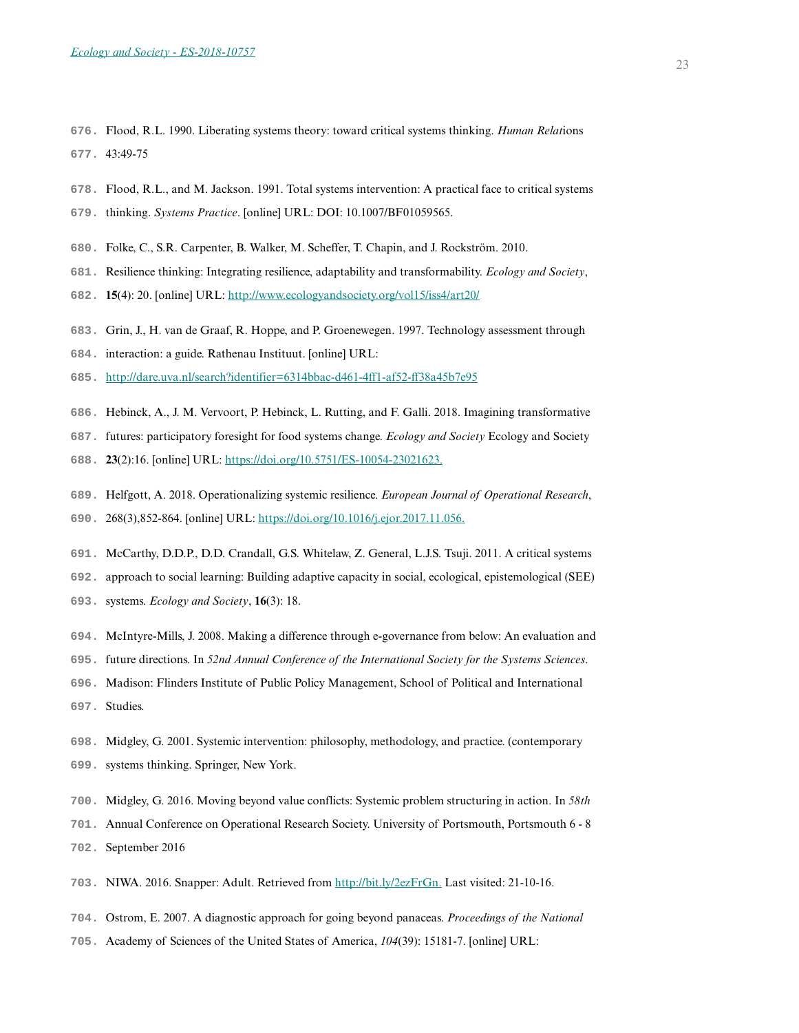- **676.** Flood, R.L. 1990. Liberating systems theory: toward critical systems thinking. *Human Relat*ions **677.** 43:49-75
- **678.** Flood, R.L., and M. Jackson. 1991. Total systems intervention: A practical face to critical systems
- **679.** thinking. *Systems Practice*. [online] URL: DOI: 10.1007/BF01059565.
- **680.** Folke, C., S.R. Carpenter, B. Walker, M. Scheffer, T. Chapin, and J. Rockström. 2010.
- **681.** Resilience thinking: Integrating resilience, adaptability and transformability. *Ecology and Society*,
- **682. 15**(4): 20. [online] URL: <http://www.ecologyandsociety.org/vol15/iss4/art20/>
- **683.** Grin, J., H. van de Graaf, R. Hoppe, and P. Groenewegen. 1997. Technology assessment through
- **684.** interaction: a guide. Rathenau Instituut. [online] URL:
- **685.** <http://dare.uva.nl/search?identifier=6314bbac-d461-4ff1-af52-ff38a45b7e95>
- **686.** Hebinck, A., J. M. Vervoort, P. Hebinck, L. Rutting, and F. Galli. 2018. Imagining transformative
- **687.** futures: participatory foresight for food systems change. *Ecology and Society* Ecology and Society
- **688. 23**(2):16. [online] URL: <https://doi.org/10.5751/ES-10054-23021623.>
- **689.** Helfgott, A. 2018. Operationalizing systemic resilience. *European Journal of Operational Research*,
- **690.** 268(3),852-864. [online] URL:<https://doi.org/10.1016/j.ejor.2017.11.056.>
- **691.** McCarthy, D.D.P., D.D. Crandall, G.S. Whitelaw, Z. General, L.J.S. Tsuji. 2011. A critical systems
- **692.** approach to social learning: Building adaptive capacity in social, ecological, epistemological (SEE)
- **693.** systems. *Ecology and Society*, **16**(3): 18.
- **694.** McIntyre-Mills, J. 2008. Making a difference through e-governance from below: An evaluation and
- **695.** future directions. In *52nd Annual Conference of the International Society for the Systems Sciences*.
- **696.** Madison: Flinders Institute of Public Policy Management, School of Political and International
- **697.** Studies.
- **698.** Midgley, G. 2001. Systemic intervention: philosophy, methodology, and practice. (contemporary
- **699.** systems thinking. Springer, New York.
- **700.** Midgley, G. 2016. Moving beyond value conflicts: Systemic problem structuring in action. In *58th*
- **701.** Annual Conference on Operational Research Society. University of Portsmouth, Portsmouth 6 8
- **702.** September 2016
- **703.** NIWA. 2016. Snapper: Adult. Retrieved from <http://bit.ly/2ezFrGn.> Last visited: 21-10-16.
- **704.** Ostrom, E. 2007. A diagnostic approach for going beyond panaceas. *Proceedings of the National*
- **705.** Academy of Sciences of the United States of America, *104*(39): 15181-7. [online] URL: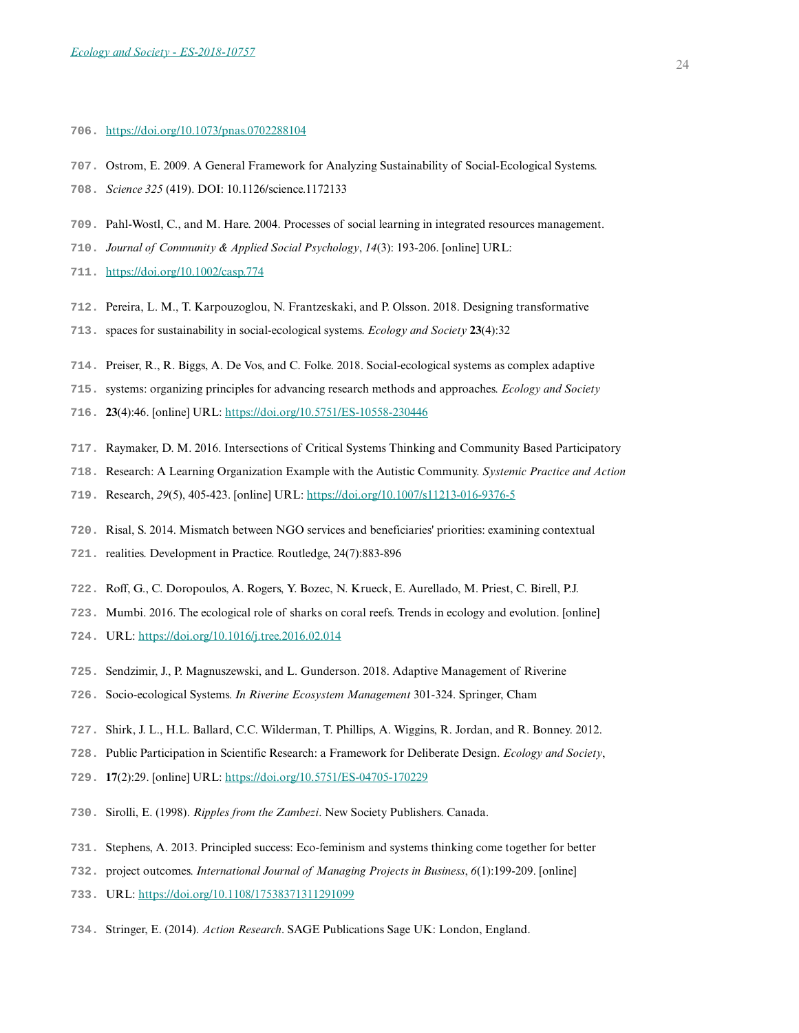#### **706.** <https://doi.org/10.1073/pnas.0702288104>

- **707.** Ostrom, E. 2009. A General Framework for Analyzing Sustainability of Social-Ecological Systems.
- **708.** *Science 325* (419). DOI: 10.1126/science.1172133
- **709.** Pahl-Wostl, C., and M. Hare. 2004. Processes of social learning in integrated resources management.
- **710.** *Journal of Community & Applied Social Psychology*, *14*(3): 193-206. [online] URL:
- **711.** <https://doi.org/10.1002/casp.774>
- **712.** Pereira, L. M., T. Karpouzoglou, N. Frantzeskaki, and P. Olsson. 2018. Designing transformative
- **713.** spaces for sustainability in social-ecological systems. *Ecology and Society* **23**(4):32
- **714.** Preiser, R., R. Biggs, A. De Vos, and C. Folke. 2018. Social-ecological systems as complex adaptive
- **715.** systems: organizing principles for advancing research methods and approaches. *Ecology and Society*
- **716. 23**(4):46. [online] URL: <https://doi.org/10.5751/ES-10558-230446>
- **717.** Raymaker, D. M. 2016. Intersections of Critical Systems Thinking and Community Based Participatory
- **718.** Research: A Learning Organization Example with the Autistic Community. *Systemic Practice and Action*
- **719.** Research, *29*(5), 405-423. [online] URL:<https://doi.org/10.1007/s11213-016-9376-5>
- **720.** Risal, S. 2014. Mismatch between NGO services and beneficiaries' priorities: examining contextual
- **721.** realities. Development in Practice. Routledge, 24(7):883-896
- **722.** Roff, G., C. Doropoulos, A. Rogers, Y. Bozec, N. Krueck, E. Aurellado, M. Priest, C. Birell, P.J.
- **723.** Mumbi. 2016. The ecological role of sharks on coral reefs. Trends in ecology and evolution. [online]
- **724.** URL:<https://doi.org/10.1016/j.tree.2016.02.014>
- **725.** Sendzimir, J., P. Magnuszewski, and L. Gunderson. 2018. Adaptive Management of Riverine
- **726.** Socio-ecological Systems. *In Riverine Ecosystem Management* 301-324. Springer, Cham
- **727.** Shirk, J. L., H.L. Ballard, C.C. Wilderman, T. Phillips, A. Wiggins, R. Jordan, and R. Bonney. 2012.
- **728.** Public Participation in Scientific Research: a Framework for Deliberate Design. *Ecology and Society*,
- **729. 17**(2):29. [online] URL: <https://doi.org/10.5751/ES-04705-170229>
- **730.** Sirolli, E. (1998). *Ripples from the Zambezi*. New Society Publishers. Canada.
- **731.** Stephens, A. 2013. Principled success: Eco-feminism and systems thinking come together for better
- **732.** project outcomes. *International Journal of Managing Projects in Business*, *6*(1):199-209. [online]
- **733.** URL:<https://doi.org/10.1108/17538371311291099>
- **734.** Stringer, E. (2014). *Action Research*. SAGE Publications Sage UK: London, England.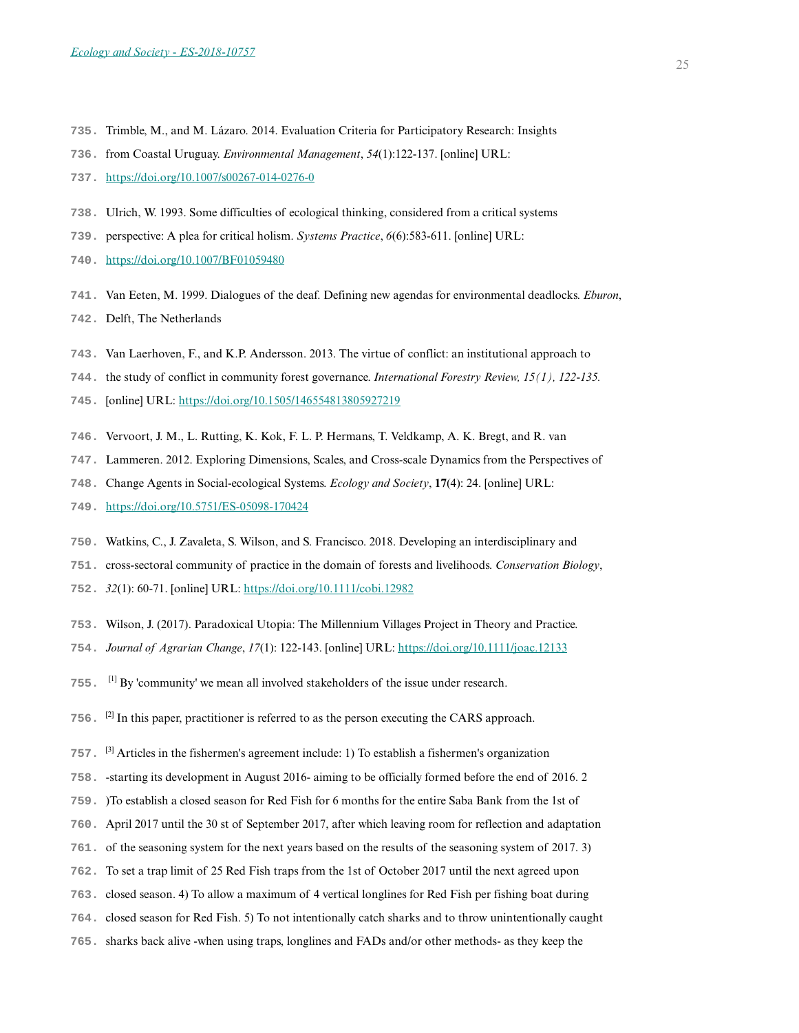- **735.** Trimble, M., and M. Lázaro. 2014. Evaluation Criteria for Participatory Research: Insights
- **736.** from Coastal Uruguay. *Environmental Management*, *54*(1):122-137. [online] URL:
- **737.** <https://doi.org/10.1007/s00267-014-0276-0>
- **738.** Ulrich, W. 1993. Some difficulties of ecological thinking, considered from a critical systems
- **739.** perspective: A plea for critical holism. *Systems Practice*, *6*(6):583-611. [online] URL:
- **740.** <https://doi.org/10.1007/BF01059480>
- **741.** Van Eeten, M. 1999. Dialogues of the deaf. Defining new agendas for environmental deadlocks. *Eburon*,
- **742.** Delft, The Netherlands
- **743.** Van Laerhoven, F., and K.P. Andersson. 2013. The virtue of conflict: an institutional approach to
- **744.** the study of conflict in community forest governance. *International Forestry Review, 15(1), 122-135.*
- **745.** [online] URL: <https://doi.org/10.1505/146554813805927219>
- **746.** Vervoort, J. M., L. Rutting, K. Kok, F. L. P. Hermans, T. Veldkamp, A. K. Bregt, and R. van
- **747.** Lammeren. 2012. Exploring Dimensions, Scales, and Cross-scale Dynamics from the Perspectives of
- **748.** Change Agents in Social-ecological Systems. *Ecology and Society*, **17**(4): 24. [online] URL:
- **749.** <https://doi.org/10.5751/ES-05098-170424>
- **750.** Watkins, C., J. Zavaleta, S. Wilson, and S. Francisco. 2018. Developing an interdisciplinary and
- **751.** cross-sectoral community of practice in the domain of forests and livelihoods. *Conservation Biology*,
- **752.** *32*(1): 60-71. [online] URL: <https://doi.org/10.1111/cobi.12982>
- **753.** Wilson, J. (2017). Paradoxical Utopia: The Millennium Villages Project in Theory and Practice.
- **754.** *Journal of Agrarian Change*, *17*(1): 122-143. [online] URL:<https://doi.org/10.1111/joac.12133>
- **755.** [1] By 'community' we mean all involved stakeholders of the issue under research.
- **756.** [2] In this paper, practitioner is referred to as the person executing the CARS approach.
- **757.** [3] Articles in the fishermen's agreement include: 1) To establish a fishermen's organization
- **758.** -starting its development in August 2016- aiming to be officially formed before the end of 2016. 2
- **759.** )To establish a closed season for Red Fish for 6 months for the entire Saba Bank from the 1st of
- **760.** April 2017 until the 30 st of September 2017, after which leaving room for reflection and adaptation
- **761.** of the seasoning system for the next years based on the results of the seasoning system of 2017. 3)
- **762.** To set a trap limit of 25 Red Fish traps from the 1st of October 2017 until the next agreed upon
- **763.** closed season. 4) To allow a maximum of 4 vertical longlines for Red Fish per fishing boat during
- **764.** closed season for Red Fish. 5) To not intentionally catch sharks and to throw unintentionally caught
- **765.** sharks back alive -when using traps, longlines and FADs and/or other methods- as they keep the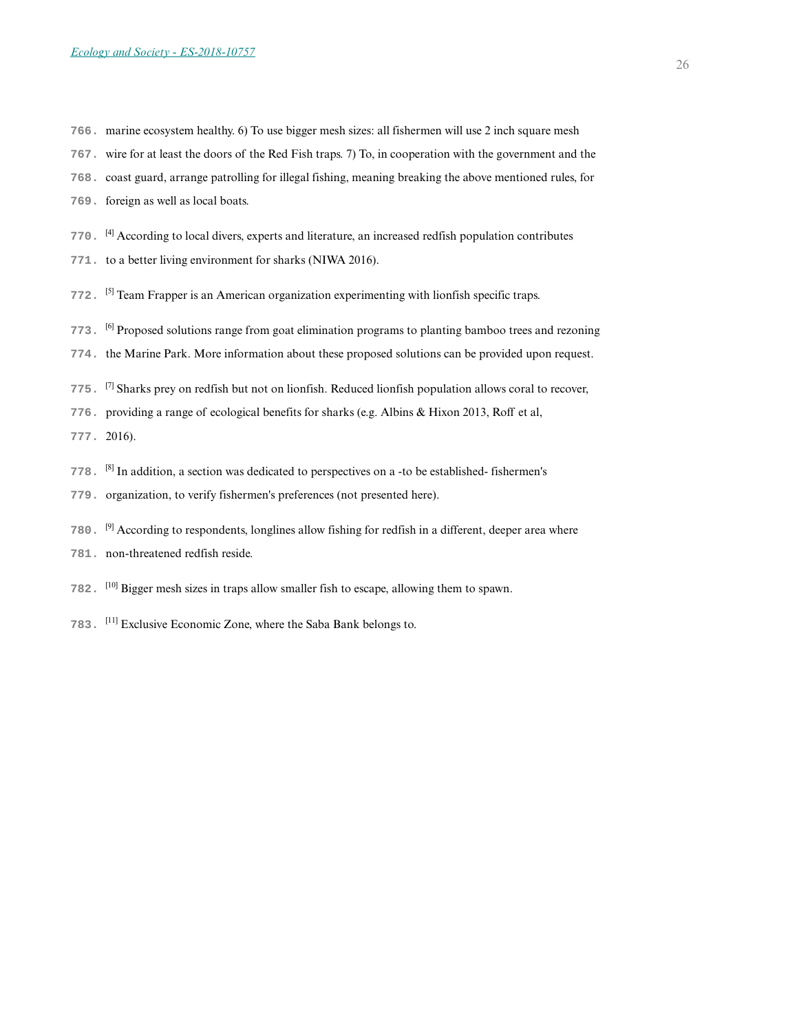- **766.** marine ecosystem healthy. 6) To use bigger mesh sizes: all fishermen will use 2 inch square mesh
- **767.** wire for at least the doors of the Red Fish traps. 7) To, in cooperation with the government and the
- **768.** coast guard, arrange patrolling for illegal fishing, meaning breaking the above mentioned rules, for
- **769.** foreign as well as local boats.
- **770.** [4] According to local divers, experts and literature, an increased redfish population contributes
- **771.** to a better living environment for sharks (NIWA 2016).
- **772.** [5] Team Frapper is an American organization experimenting with lionfish specific traps.
- **773.** [6] Proposed solutions range from goat elimination programs to planting bamboo trees and rezoning
- **774.** the Marine Park. More information about these proposed solutions can be provided upon request.
- **775.** [7] Sharks prey on redfish but not on lionfish. Reduced lionfish population allows coral to recover,
- **776.** providing a range of ecological benefits for sharks (e.g. Albins & Hixon 2013, Roff et al,
- **777.** 2016).
- **778.** [8] In addition, a section was dedicated to perspectives on a -to be established- fishermen's
- **779.** organization, to verify fishermen's preferences (not presented here).
- **780.** [9] According to respondents, longlines allow fishing for redfish in a different, deeper area where
- **781.** non-threatened redfish reside.
- **782.** [10] Bigger mesh sizes in traps allow smaller fish to escape, allowing them to spawn.
- **783.** [11] Exclusive Economic Zone, where the Saba Bank belongs to.